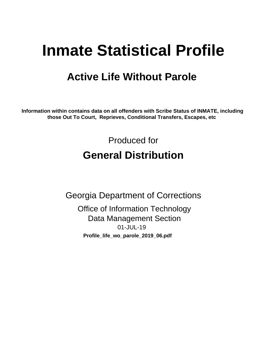# **Inmate Statistical Profile**

# **Active Life Without Parole**

Information within contains data on all offenders with Scribe Status of INMATE, including those Out To Court, Reprieves, Conditional Transfers, Escapes, etc

> Produced for **General Distribution**

**Georgia Department of Corrections Office of Information Technology Data Management Section** 01-JUL-19 Profile\_life\_wo\_parole\_2019\_06.pdf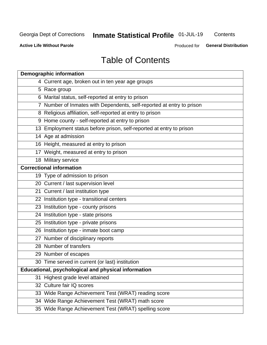# Inmate Statistical Profile 01-JUL-19

Contents

**Active Life Without Parole** 

Produced for General Distribution

# **Table of Contents**

|    | <b>Demographic information</b>                                        |
|----|-----------------------------------------------------------------------|
|    | 4 Current age, broken out in ten year age groups                      |
|    | 5 Race group                                                          |
|    | 6 Marital status, self-reported at entry to prison                    |
|    | 7 Number of Inmates with Dependents, self-reported at entry to prison |
|    | 8 Religious affiliation, self-reported at entry to prison             |
|    | 9 Home county - self-reported at entry to prison                      |
|    | 13 Employment status before prison, self-reported at entry to prison  |
|    | 14 Age at admission                                                   |
|    | 16 Height, measured at entry to prison                                |
|    | 17 Weight, measured at entry to prison                                |
|    | 18 Military service                                                   |
|    | <b>Correctional information</b>                                       |
|    | 19 Type of admission to prison                                        |
|    | 20 Current / last supervision level                                   |
|    | 21 Current / last institution type                                    |
|    | 22 Institution type - transitional centers                            |
|    | 23 Institution type - county prisons                                  |
|    | 24 Institution type - state prisons                                   |
|    | 25 Institution type - private prisons                                 |
|    | 26 Institution type - inmate boot camp                                |
|    | 27 Number of disciplinary reports                                     |
|    | 28 Number of transfers                                                |
|    | 29 Number of escapes                                                  |
|    | 30 Time served in current (or last) institution                       |
|    | Educational, psychological and physical information                   |
| 31 | Highest grade level attained                                          |
|    | 32 Culture fair IQ scores                                             |
|    | 33 Wide Range Achievement Test (WRAT) reading score                   |
|    | 34 Wide Range Achievement Test (WRAT) math score                      |
|    | 35 Wide Range Achievement Test (WRAT) spelling score                  |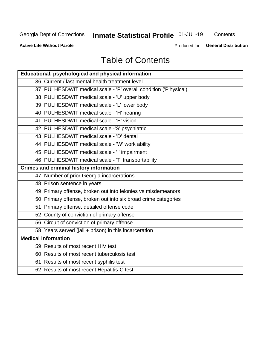# Inmate Statistical Profile 01-JUL-19

Contents

**Active Life Without Parole** 

**General Distribution** Produced for

# **Table of Contents**

| <b>Educational, psychological and physical information</b>       |
|------------------------------------------------------------------|
| 36 Current / last mental health treatment level                  |
| 37 PULHESDWIT medical scale - 'P' overall condition ('P'hysical) |
| 38 PULHESDWIT medical scale - 'U' upper body                     |
| 39 PULHESDWIT medical scale - 'L' lower body                     |
| 40 PULHESDWIT medical scale - 'H' hearing                        |
| 41 PULHESDWIT medical scale - 'E' vision                         |
| 42 PULHESDWIT medical scale -'S' psychiatric                     |
| 43 PULHESDWIT medical scale - 'D' dental                         |
| 44 PULHESDWIT medical scale - 'W' work ability                   |
| 45 PULHESDWIT medical scale - 'I' impairment                     |
| 46 PULHESDWIT medical scale - 'T' transportability               |
| <b>Crimes and criminal history information</b>                   |
| 47 Number of prior Georgia incarcerations                        |
| 48 Prison sentence in years                                      |
| 49 Primary offense, broken out into felonies vs misdemeanors     |
| 50 Primary offense, broken out into six broad crime categories   |
| 51 Primary offense, detailed offense code                        |
| 52 County of conviction of primary offense                       |
| 56 Circuit of conviction of primary offense                      |
| 58 Years served (jail + prison) in this incarceration            |
| <b>Medical information</b>                                       |
| 59 Results of most recent HIV test                               |
| 60 Results of most recent tuberculosis test                      |
| 61 Results of most recent syphilis test                          |
| 62 Results of most recent Hepatitis-C test                       |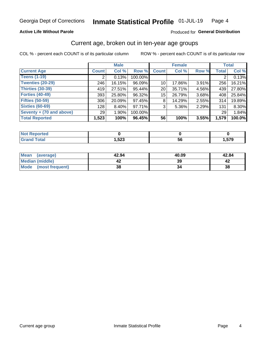### **Active Life Without Parole**

### Produced for General Distribution

# Current age, broken out in ten-year age groups

COL % - percent each COUNT is of its particular column

|                          | <b>Male</b>  |          |         |                 | <b>Female</b> |       |              | <b>Total</b> |
|--------------------------|--------------|----------|---------|-----------------|---------------|-------|--------------|--------------|
| <b>Current Age</b>       | <b>Count</b> | Col %    | Row %   | <b>Count</b>    | Col %         | Row % | <b>Total</b> | Col %        |
| <b>Teens (1-19)</b>      | ⌒            | 0.13%    | 100.00% |                 |               |       | 2            | 0.13%        |
| <b>Twenties (20-29)</b>  | 246          | 16.15%   | 96.09%  | 10              | 17.86%        | 3.91% | 256          | 16.21%       |
| Thirties (30-39)         | 419          | 27.51%   | 95.44%  | 20              | 35.71%        | 4.56% | 439          | 27.80%       |
| <b>Forties (40-49)</b>   | 393          | 25.80%   | 96.32%  | 15 <sup>1</sup> | 26.79%        | 3.68% | 408          | 25.84%       |
| <b>Fifties (50-59)</b>   | 306          | 20.09%   | 97.45%  | 8               | 14.29%        | 2.55% | 314          | 19.89%       |
| <b>Sixties (60-69)</b>   | 128          | $8.40\%$ | 97.71%  | 3               | 5.36%         | 2.29% | 131          | 8.30%        |
| Seventy + (70 and above) | 29           | $1.90\%$ | 100.00% |                 |               |       | 29           | 1.84%        |
| <b>Total Reported</b>    | 1,523        | 100%     | 96.45%  | 56              | 100%          | 3.55% | 1,579        | 100.0%       |

| <b>Contract Contract Contract</b> |       |    |     |
|-----------------------------------|-------|----|-----|
| $C = 4 - 7$                       | よつつ   | -0 | 570 |
| _____                             | د∡ت,⊧ | v  |     |

| Mean<br>(average)    | 42.94 | 40.09 | 42.84 |
|----------------------|-------|-------|-------|
| Median (middle)      |       | 39    |       |
| Mode (most frequent) | 38    |       | 38    |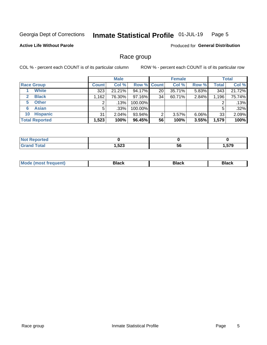#### Inmate Statistical Profile 01-JUL-19 Page 5

### **Active Life Without Parole**

Produced for General Distribution

# Race group

COL % - percent each COUNT is of its particular column

|                              | <b>Male</b>  |          |         | <b>Female</b>      |        |          | <b>Total</b> |        |
|------------------------------|--------------|----------|---------|--------------------|--------|----------|--------------|--------|
| <b>Race Group</b>            | <b>Count</b> | Col %    |         | <b>Row % Count</b> | Col %  | Row %    | <b>Total</b> | Col %  |
| <b>White</b>                 | 323          | 21.21%   | 94.17%  | 20                 | 35.71% | 5.83%    | 343          | 21.72% |
| <b>Black</b><br>$\mathbf{2}$ | 1,162        | 76.30%   | 97.16%  | 34                 | 60.71% | 2.84%    | 1,196        | 75.74% |
| <b>Other</b><br>5.           |              | .13%     | 100.00% |                    |        |          | 2            | .13%   |
| <b>Asian</b><br>6            | 5            | $.33\%$  | 100.00% |                    |        |          | 5            | .32%   |
| <b>Hispanic</b><br>10        | 31           | $2.04\%$ | 93.94%  | 2                  | 3.57%  | $6.06\%$ | 33           | 2.09%  |
| <b>Total Reported</b>        | 1,523        | 100%     | 96.45%  | 56                 | 100%   | 3.55%    | 1,579        | 100%   |

| .<br>тео<br>. <b>.</b>  |      |     |     |
|-------------------------|------|-----|-----|
| $f$ $f \circ f \circ f$ | よつつ  | - - | --^ |
| _____                   | د∡د, | 56  |     |

| –•••• |  | M |  |  |  |
|-------|--|---|--|--|--|
|-------|--|---|--|--|--|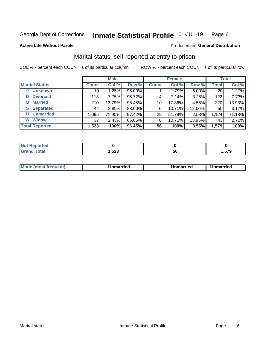#### Inmate Statistical Profile 01-JUL-19 Page 6

**Active Life Without Parole** 

### Produced for General Distribution

# Marital status, self-reported at entry to prison

COL % - percent each COUNT is of its particular column

|                       | <b>Male</b>  |        |        |                 | <b>Female</b> | <b>Total</b> |              |        |
|-----------------------|--------------|--------|--------|-----------------|---------------|--------------|--------------|--------|
| <b>Marital Status</b> | <b>Count</b> | Col %  | Row %  | <b>Count</b>    | Col %         | Row %        | <b>Total</b> | Col %  |
| <b>Unknown</b><br>0   | 19           | 1.25%  | 95.00% |                 | 1.79%         | 5.00%        | 20           | 1.27%  |
| <b>Divorced</b><br>D  | 118          | 7.75%  | 96.72% | 4               | 7.14%         | 3.28%        | 122          | 7.73%  |
| <b>Married</b><br>М   | 210          | 13.79% | 95.45% | 10 <sub>1</sub> | 17.86%        | 4.55%        | 220          | 13.93% |
| <b>Separated</b><br>S | 44           | 2.89%  | 88.00% | 6               | 10.71%        | 12.00%       | 50           | 3.17%  |
| <b>Unmarried</b><br>U | 1,095        | 71.90% | 97.42% | 29              | 51.79%        | 2.58%        | 1,124        | 71.18% |
| <b>Widow</b><br>W     | 37           | 2.43%  | 86.05% | 6               | 10.71%        | 13.95%       | 43           | 2.72%  |
| <b>Total Reported</b> | 1,523        | 100%   | 96.45% | 56              | 100%          | 3.55%        | 1,579        | 100%   |

| orted<br>NOT<br>. <b>.</b> |               |     |      |
|----------------------------|---------------|-----|------|
| $F$ atal<br><b>Oldi</b>    | よつつ<br>3∠3, ا | IJu | .579 |

|  | M | . | Unmarried | າmarried<br>______ |
|--|---|---|-----------|--------------------|
|--|---|---|-----------|--------------------|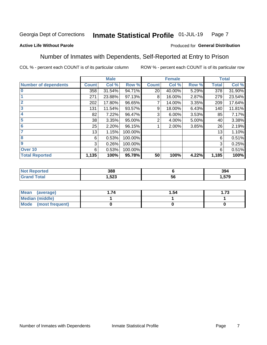#### Inmate Statistical Profile 01-JUL-19 Page 7

### **Active Life Without Parole**

### Produced for General Distribution

# Number of Inmates with Dependents, Self-Reported at Entry to Prison

COL % - percent each COUNT is of its particular column

|                             |                 | <b>Male</b> |         |              | <b>Female</b> |       |              | <b>Total</b> |
|-----------------------------|-----------------|-------------|---------|--------------|---------------|-------|--------------|--------------|
| <b>Number of dependents</b> | <b>Count</b>    | Col %       | Row %   | <b>Count</b> | Col %         | Row % | <b>Total</b> | Col %        |
| $\bf{0}$                    | 358             | 31.54%      | 94.71%  | 20           | 40.00%        | 5.29% | 378          | 31.90%       |
|                             | 271             | 23.88%      | 97.13%  | 8            | 16.00%        | 2.87% | 279          | 23.54%       |
| $\overline{2}$              | 202             | 17.80%      | 96.65%  | 7            | 14.00%        | 3.35% | 209          | 17.64%       |
| 3                           | 131             | 11.54%      | 93.57%  | 9            | 18.00%        | 6.43% | 140          | 11.81%       |
| 4                           | 82              | 7.22%       | 96.47%  | 3            | $6.00\%$      | 3.53% | 85           | 7.17%        |
| 5                           | 38 <sup>1</sup> | 3.35%       | 95.00%  | 2            | 4.00%         | 5.00% | 40           | 3.38%        |
| 6                           | 25              | 2.20%       | 96.15%  |              | 2.00%         | 3.85% | 26           | 2.19%        |
| 7                           | 13              | 1.15%       | 100.00% |              |               |       | 13           | 1.10%        |
| 8                           | 6               | 0.53%       | 100.00% |              |               |       | 6            | 0.51%        |
| $\boldsymbol{9}$            | 3               | 0.26%       | 100.00% |              |               |       | 3            | 0.25%        |
| Over 10                     | 6               | 0.53%       | 100.00% |              |               |       | 6            | 0.51%        |
| <b>Total Reported</b>       | 1,135           | 100%        | 95.78%  | 50           | 100%          | 4.22% | 1,185        | 100%         |

| 388                |    | 394  |
|--------------------|----|------|
| E00<br>د∠כ.⊦<br>__ | ьt | .579 |

| Mean<br>(average)      | 1.54 | l.73 |
|------------------------|------|------|
| <b>Median (middle)</b> |      |      |
| Mode (most frequent)   |      |      |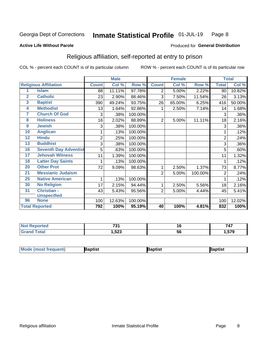#### Inmate Statistical Profile 01-JUL-19 Page 8

#### **Active Life Without Parole**

#### Produced for General Distribution

# Religious affiliation, self-reported at entry to prison

COL % - percent each COUNT is of its particular column

|                         |                              |                | <b>Male</b> |         |                | <b>Female</b> |         |                | <b>Total</b> |
|-------------------------|------------------------------|----------------|-------------|---------|----------------|---------------|---------|----------------|--------------|
|                         | <b>Religious Affiliation</b> | <b>Count</b>   | Col %       | Row %   | <b>Count</b>   | Col %         | Row %   | <b>Total</b>   | Col %        |
| 1                       | <b>Islam</b>                 | 88             | 11.11%      | 97.78%  | 2              | 5.00%         | 2.22%   | 90             | 10.82%       |
| $\overline{2}$          | <b>Catholic</b>              | 23             | 2.90%       | 88.46%  | 3              | 7.50%         | 11.54%  | 26             | 3.13%        |
| $\overline{\mathbf{3}}$ | <b>Baptist</b>               | 390            | 49.24%      | 93.75%  | 26             | 65.00%        | 6.25%   | 416            | 50.00%       |
| $\overline{\mathbf{4}}$ | <b>Methodist</b>             | 13             | 1.64%       | 92.86%  | 1              | 2.50%         | 7.14%   | 14             | 1.68%        |
| 7                       | <b>Church Of God</b>         | 3              | .38%        | 100.00% |                |               |         | 3              | .36%         |
| 8                       | <b>Holiness</b>              | 16             | 2.02%       | 88.89%  | $\overline{2}$ | 5.00%         | 11.11%  | 18             | 2.16%        |
| 9                       | <b>Jewish</b>                | 3              | .38%        | 100.00% |                |               |         | 3              | .36%         |
| 10                      | <b>Anglican</b>              |                | .13%        | 100.00% |                |               |         |                | .12%         |
| 12                      | <b>Hindu</b>                 | $\overline{2}$ | .25%        | 100.00% |                |               |         | $\overline{2}$ | .24%         |
| 13                      | <b>Buddhist</b>              | 3              | .38%        | 100.00% |                |               |         | 3              | .36%         |
| 16                      | <b>Seventh Day Adventist</b> | 5              | .63%        | 100.00% |                |               |         | 5              | .60%         |
| 17 <sub>2</sub>         | <b>Jehovah Witness</b>       | 11             | 1.39%       | 100.00% |                |               |         | 11             | 1.32%        |
| 18                      | <b>Latter Day Saints</b>     | 1              | .13%        | 100.00% |                |               |         |                | .12%         |
| 20                      | <b>Other Prot</b>            | 72             | 9.09%       | 98.63%  | 1              | 2.50%         | 1.37%   | 73             | 8.77%        |
| 21                      | <b>Messianic Judaism</b>     |                |             |         | 2              | 5.00%         | 100.00% | $\overline{2}$ | .24%         |
| 25                      | <b>Native American</b>       | 1              | .13%        | 100.00% |                |               |         |                | .12%         |
| 30                      | <b>No Religion</b>           | 17             | 2.15%       | 94.44%  | 1              | 2.50%         | 5.56%   | 18             | 2.16%        |
| 31                      | Christian -                  | 43             | 5.43%       | 95.56%  | $\overline{2}$ | 5.00%         | 4.44%   | 45             | 5.41%        |
|                         | <b>Unspecified</b>           |                |             |         |                |               |         |                |              |
| 96                      | <b>None</b>                  | 100            | 12.63%      | 100.00% |                |               |         | 100            | 12.02%       |
|                         | <b>Total Reported</b>        | 792            | 100%        | 95.19%  | 40             | 100%          | 4.81%   | 832            | 100%         |

| orteo.      | 704<br>וטו    |    | $-1 -$<br>74.          |
|-------------|---------------|----|------------------------|
| <b>otal</b> | E00<br>3∠3، ا | 56 | <b>F70</b><br>I .J I J |

| Mode (most frequent)<br><b>3aptist</b><br>Baptist<br>Baptist |
|--------------------------------------------------------------|
|--------------------------------------------------------------|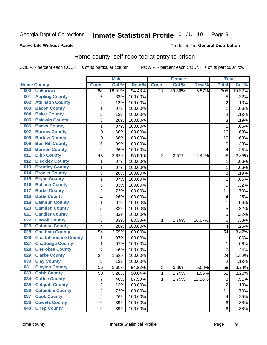#### Inmate Statistical Profile 01-JUL-19 Page 9

### **Active Life Without Parole**

### Produced for General Distribution

# Home county, self-reported at entry to prison

COL % - percent each COUNT is of its particular column

|     |                             |                | <b>Male</b> |                  |                 | <b>Female</b> |        | <b>Total</b>   |        |
|-----|-----------------------------|----------------|-------------|------------------|-----------------|---------------|--------|----------------|--------|
|     | <b>Home County</b>          | <b>Count</b>   | Col %       | Row <sup>%</sup> | <b>Count</b>    | Col %         | Row %  | <b>Total</b>   | Col %  |
| 000 | <b>Unknown</b>              | 288            | 18.91%      | 94.43%           | $\overline{17}$ | 30.36%        | 5.57%  | 305            | 19.32% |
| 001 | <b>Appling County</b>       | 5              | .33%        | 100.00%          |                 |               |        | 5              | .32%   |
| 002 | <b>Atkinson County</b>      | $\overline{2}$ | .13%        | 100.00%          |                 |               |        | $\overline{2}$ | .13%   |
| 003 | <b>Bacon County</b>         | 1              | .07%        | 100.00%          |                 |               |        | 1              | .06%   |
| 004 | <b>Baker County</b>         | $\overline{2}$ | .13%        | 100.00%          |                 |               |        | $\overline{2}$ | .13%   |
| 005 | <b>Baldwin County</b>       | 3              | .20%        | 100.00%          |                 |               |        | 3              | .19%   |
| 006 | <b>Banks County</b>         | $\mathbf{1}$   | .07%        | 100.00%          |                 |               |        | 1              | .06%   |
| 007 | <b>Barrow County</b>        | 10             | .66%        | 100.00%          |                 |               |        | 10             | .63%   |
| 008 | <b>Bartow County</b>        | 10             | .66%        | 100.00%          |                 |               |        | 10             | .63%   |
| 009 | <b>Ben Hill County</b>      | 6              | .39%        | 100.00%          |                 |               |        | 6              | .38%   |
| 010 | <b>Berrien County</b>       | 4              | .26%        | 100.00%          |                 |               |        | 4              | .25%   |
| 011 | <b>Bibb County</b>          | 43             | 2.82%       | 95.56%           | $\overline{2}$  | 3.57%         | 4.44%  | 45             | 2.85%  |
| 012 | <b>Bleckley County</b>      | 1              | .07%        | 100.00%          |                 |               |        | 1              | .06%   |
| 013 | <b>Brantley County</b>      | $\mathbf 1$    | .07%        | 100.00%          |                 |               |        | 1              | .06%   |
| 014 | <b>Brooks County</b>        | 3              | .20%        | 100.00%          |                 |               |        | 3              | .19%   |
| 015 | <b>Bryan County</b>         | 1              | .07%        | 100.00%          |                 |               |        | 1              | .06%   |
| 016 | <b>Bulloch County</b>       | 5              | .33%        | 100.00%          |                 |               |        | 5              | .32%   |
| 017 | <b>Burke County</b>         | 11             | .72%        | 100.00%          |                 |               |        | 11             | .70%   |
| 018 | <b>Butts County</b>         | 4              | .26%        | 100.00%          |                 |               |        | 4              | .25%   |
| 019 | <b>Calhoun County</b>       | 1              | .07%        | 100.00%          |                 |               |        | 1              | .06%   |
| 020 | <b>Camden County</b>        | 5              | .33%        | 100.00%          |                 |               |        | 5              | .32%   |
| 021 | <b>Candler County</b>       | 5              | .33%        | 100.00%          |                 |               |        | 5              | .32%   |
| 022 | <b>Carroll County</b>       | 5              | .33%        | 83.33%           | 1               | 1.79%         | 16.67% | 6              | .38%   |
| 023 | <b>Catoosa County</b>       | 4              | .26%        | 100.00%          |                 |               |        | 4              | .25%   |
| 025 | <b>Chatham County</b>       | 54             | 3.55%       | 100.00%          |                 |               |        | 54             | 3.42%  |
| 026 | <b>Chattahoochee County</b> | $\mathbf 1$    | .07%        | 100.00%          |                 |               |        | 1              | .06%   |
| 027 | <b>Chattooga County</b>     | $\mathbf 1$    | .07%        | 100.00%          |                 |               |        | 1              | .06%   |
| 028 | <b>Cherokee County</b>      | $\overline{7}$ | .46%        | 100.00%          |                 |               |        | 7              | .44%   |
| 029 | <b>Clarke County</b>        | 24             | 1.58%       | 100.00%          |                 |               |        | 24             | 1.52%  |
| 030 | <b>Clay County</b>          | $\overline{2}$ | .13%        | 100.00%          |                 |               |        | $\overline{2}$ | .13%   |
| 031 | <b>Clayton County</b>       | 56             | 3.68%       | 94.92%           | 3               | 5.36%         | 5.08%  | 59             | 3.74%  |
| 033 | <b>Cobb County</b>          | 50             | 3.28%       | 98.04%           | 1               | 1.79%         | 1.96%  | 51             | 3.23%  |
| 034 | <b>Coffee County</b>        | $\overline{7}$ | .46%        | 87.50%           | 1               | 1.79%         | 12.50% | 8              | .51%   |
| 035 | <b>Colquitt County</b>      | $\overline{2}$ | .13%        | 100.00%          |                 |               |        | $\overline{2}$ | .13%   |
| 036 | <b>Columbia County</b>      | 11             | .72%        | 100.00%          |                 |               |        | 11             | .70%   |
| 037 | <b>Cook County</b>          | 4              | .26%        | 100.00%          |                 |               |        | 4              | .25%   |
| 038 | <b>Coweta County</b>        | 6              | .39%        | 100.00%          |                 |               |        | 6              | .38%   |
| 040 | <b>Crisp County</b>         | 6              | .39%        | 100.00%          |                 |               |        | 6              | .38%   |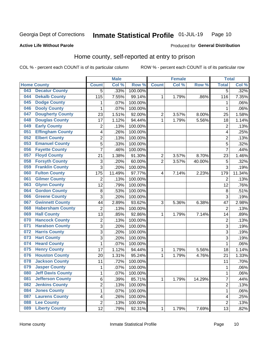#### Inmate Statistical Profile 01-JUL-19 Page 10

### **Active Life Without Parole**

# Produced for General Distribution

# Home county, self-reported at entry to prison

COL % - percent each COUNT is of its particular column

|     |                          |                | <b>Male</b> |                  |                | <b>Female</b> |        | <b>Total</b>   |        |
|-----|--------------------------|----------------|-------------|------------------|----------------|---------------|--------|----------------|--------|
|     | <b>Home County</b>       | <b>Count</b>   | Col %       | Row <sup>%</sup> | <b>Count</b>   | Col %         | Row %  | <b>Total</b>   | Col %  |
| 043 | <b>Decatur County</b>    | $\overline{5}$ | .33%        | 100.00%          |                |               |        | $\overline{5}$ | .32%   |
| 044 | <b>Dekalb County</b>     | 115            | 7.55%       | 99.14%           | 1              | 1.79%         | .86%   | 116            | 7.35%  |
| 045 | <b>Dodge County</b>      | 1              | .07%        | 100.00%          |                |               |        | 1              | .06%   |
| 046 | <b>Dooly County</b>      | 1              | .07%        | 100.00%          |                |               |        | 1              | .06%   |
| 047 | <b>Dougherty County</b>  | 23             | 1.51%       | 92.00%           | $\overline{2}$ | 3.57%         | 8.00%  | 25             | 1.58%  |
| 048 | <b>Douglas County</b>    | 17             | 1.12%       | 94.44%           | 1              | 1.79%         | 5.56%  | 18             | 1.14%  |
| 049 | <b>Early County</b>      | $\overline{2}$ | .13%        | 100.00%          |                |               |        | $\overline{2}$ | .13%   |
| 051 | <b>Effingham County</b>  | 4              | .26%        | 100.00%          |                |               |        | 4              | .25%   |
| 052 | <b>Elbert County</b>     | $\overline{2}$ | .13%        | 100.00%          |                |               |        | $\overline{2}$ | .13%   |
| 053 | <b>Emanuel County</b>    | 5              | .33%        | 100.00%          |                |               |        | 5              | .32%   |
| 056 | <b>Fayette County</b>    | $\overline{7}$ | .46%        | 100.00%          |                |               |        | $\overline{7}$ | .44%   |
| 057 | <b>Floyd County</b>      | 21             | 1.38%       | 91.30%           | $\overline{2}$ | 3.57%         | 8.70%  | 23             | 1.46%  |
| 058 | <b>Forsyth County</b>    | 3              | .20%        | 60.00%           | $\overline{2}$ | 3.57%         | 40.00% | 5              | .32%   |
| 059 | <b>Franklin County</b>   | 3              | .20%        | 100.00%          |                |               |        | 3              | .19%   |
| 060 | <b>Fulton County</b>     | 175            | 11.49%      | 97.77%           | 4              | 7.14%         | 2.23%  | 179            | 11.34% |
| 061 | <b>Gilmer County</b>     | $\overline{2}$ | .13%        | 100.00%          |                |               |        | $\overline{2}$ | .13%   |
| 063 | <b>Glynn County</b>      | 12             | .79%        | 100.00%          |                |               |        | 12             | .76%   |
| 064 | <b>Gordon County</b>     | 8              | .53%        | 100.00%          |                |               |        | 8              | .51%   |
| 066 | <b>Greene County</b>     | 3              | .20%        | 100.00%          |                |               |        | 3              | .19%   |
| 067 | <b>Gwinnett County</b>   | 44             | 2.89%       | 93.62%           | 3              | 5.36%         | 6.38%  | 47             | 2.98%  |
| 068 | <b>Habersham County</b>  | $\overline{2}$ | .13%        | 100.00%          |                |               |        | $\overline{2}$ | .13%   |
| 069 | <b>Hall County</b>       | 13             | .85%        | 92.86%           | 1              | 1.79%         | 7.14%  | 14             | .89%   |
| 070 | <b>Hancock County</b>    | $\overline{2}$ | .13%        | 100.00%          |                |               |        | $\overline{2}$ | .13%   |
| 071 | <b>Haralson County</b>   | 3              | .20%        | 100.00%          |                |               |        | $\overline{3}$ | .19%   |
| 072 | <b>Harris County</b>     | 3              | .20%        | 100.00%          |                |               |        | 3              | .19%   |
| 073 | <b>Hart County</b>       | 3              | .20%        | 100.00%          |                |               |        | $\overline{3}$ | .19%   |
| 074 | <b>Heard County</b>      | $\mathbf{1}$   | .07%        | 100.00%          |                |               |        | 1              | .06%   |
| 075 | <b>Henry County</b>      | 17             | 1.12%       | 94.44%           | 1              | 1.79%         | 5.56%  | 18             | 1.14%  |
| 076 | <b>Houston County</b>    | 20             | 1.31%       | 95.24%           | 1              | 1.79%         | 4.76%  | 21             | 1.33%  |
| 078 | <b>Jackson County</b>    | 11             | .72%        | 100.00%          |                |               |        | 11             | .70%   |
| 079 | <b>Jasper County</b>     | 1              | .07%        | 100.00%          |                |               |        | 1              | .06%   |
| 080 | <b>Jeff Davis County</b> | $\mathbf 1$    | .07%        | 100.00%          |                |               |        | 1              | .06%   |
| 081 | <b>Jefferson County</b>  | 6              | .39%        | 85.71%           | 1              | 1.79%         | 14.29% | 7              | .44%   |
| 082 | <b>Jenkins County</b>    | $\overline{c}$ | .13%        | 100.00%          |                |               |        | $\overline{2}$ | .13%   |
| 084 | <b>Jones County</b>      | $\mathbf{1}$   | .07%        | 100.00%          |                |               |        | 1              | .06%   |
| 087 | <b>Laurens County</b>    | 4              | .26%        | 100.00%          |                |               |        | 4              | .25%   |
| 088 | <b>Lee County</b>        | $\overline{2}$ | .13%        | 100.00%          |                |               |        | $\overline{2}$ | .13%   |
| 089 | <b>Liberty County</b>    | 12             | .79%        | 92.31%           | 1              | 1.79%         | 7.69%  | 13             | .82%   |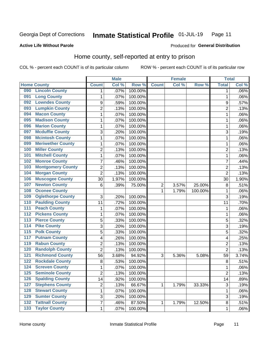#### Inmate Statistical Profile 01-JUL-19 Page 11

### **Active Life Without Parole**

# Produced for General Distribution

# Home county, self-reported at entry to prison

COL % - percent each COUNT is of its particular column

|                  |                          |                  | <b>Male</b> |         |              | <b>Female</b> |         | <b>Total</b>   |       |
|------------------|--------------------------|------------------|-------------|---------|--------------|---------------|---------|----------------|-------|
|                  | <b>Home County</b>       | <b>Count</b>     | Col %       | Row %   | <b>Count</b> | Col %         | Row %   | <b>Total</b>   | Col % |
| 090              | <b>Lincoln County</b>    | 1                | .07%        | 100.00% |              |               |         | 1              | .06%  |
| 091              | <b>Long County</b>       | $\mathbf{1}$     | .07%        | 100.00% |              |               |         | 1              | .06%  |
| 092              | <b>Lowndes County</b>    | $\boldsymbol{9}$ | .59%        | 100.00% |              |               |         | 9              | .57%  |
| 093              | <b>Lumpkin County</b>    | $\overline{c}$   | .13%        | 100.00% |              |               |         | $\overline{2}$ | .13%  |
| 094              | <b>Macon County</b>      | $\mathbf 1$      | .07%        | 100.00% |              |               |         | 1              | .06%  |
| 095              | <b>Madison County</b>    | $\mathbf 1$      | .07%        | 100.00% |              |               |         | 1              | .06%  |
| 096              | <b>Marion County</b>     | $\mathbf 1$      | .07%        | 100.00% |              |               |         | 1              | .06%  |
| 097              | <b>Mcduffie County</b>   | 3                | .20%        | 100.00% |              |               |         | 3              | .19%  |
| 098              | <b>Mcintosh County</b>   | $\mathbf 1$      | .07%        | 100.00% |              |               |         | 1              | .06%  |
| 099              | <b>Meriwether County</b> | $\mathbf 1$      | .07%        | 100.00% |              |               |         | 1              | .06%  |
| 100              | <b>Miller County</b>     | $\overline{c}$   | .13%        | 100.00% |              |               |         | $\overline{c}$ | .13%  |
| 101              | <b>Mitchell County</b>   | $\mathbf 1$      | .07%        | 100.00% |              |               |         | 1              | .06%  |
| 102              | <b>Monroe County</b>     | 7                | .46%        | 100.00% |              |               |         | 7              | .44%  |
| 103              | <b>Montgomery County</b> | $\overline{c}$   | .13%        | 100.00% |              |               |         | $\overline{2}$ | .13%  |
| 104              | <b>Morgan County</b>     | $\overline{2}$   | .13%        | 100.00% |              |               |         | $\overline{2}$ | .13%  |
| 106              | <b>Muscogee County</b>   | 30               | 1.97%       | 100.00% |              |               |         | 30             | 1.90% |
| 107              | <b>Newton County</b>     | 6                | .39%        | 75.00%  | 2            | 3.57%         | 25.00%  | 8              | .51%  |
| 108              | <b>Oconee County</b>     |                  |             |         | 1            | 1.79%         | 100.00% | 1              | .06%  |
| 109              | <b>Oglethorpe County</b> | 3                | .20%        | 100.00% |              |               |         | 3              | .19%  |
| 110              | <b>Paulding County</b>   | 11               | .72%        | 100.00% |              |               |         | 11             | .70%  |
| 111              | <b>Peach County</b>      | $\mathbf 1$      | .07%        | 100.00% |              |               |         | 1              | .06%  |
| $\overline{112}$ | <b>Pickens County</b>    | $\mathbf 1$      | .07%        | 100.00% |              |               |         | 1              | .06%  |
| $\overline{113}$ | <b>Pierce County</b>     | 5                | .33%        | 100.00% |              |               |         | 5              | .32%  |
| 114              | <b>Pike County</b>       | 3                | .20%        | 100.00% |              |               |         | 3              | .19%  |
| $\overline{115}$ | <b>Polk County</b>       | 5                | .33%        | 100.00% |              |               |         | 5              | .32%  |
| 117              | <b>Putnam County</b>     | 4                | .26%        | 100.00% |              |               |         | 4              | .25%  |
| 119              | <b>Rabun County</b>      | $\overline{2}$   | .13%        | 100.00% |              |               |         | $\overline{2}$ | .13%  |
| 120              | <b>Randolph County</b>   | $\overline{2}$   | .13%        | 100.00% |              |               |         | $\overline{2}$ | .13%  |
| 121              | <b>Richmond County</b>   | 56               | 3.68%       | 94.92%  | 3            | 5.36%         | 5.08%   | 59             | 3.74% |
| 122              | <b>Rockdale County</b>   | 8                | .53%        | 100.00% |              |               |         | 8              | .51%  |
| 124              | <b>Screven County</b>    | $\mathbf{1}$     | .07%        | 100.00% |              |               |         | 1              | .06%  |
| 125              | <b>Seminole County</b>   | 2                | .13%        | 100.00% |              |               |         | 2              | .13%  |
| 126              | <b>Spalding County</b>   | 14               | .92%        | 100.00% |              |               |         | 14             | .89%  |
| 127              | <b>Stephens County</b>   | $\overline{c}$   | .13%        | 66.67%  | 1            | 1.79%         | 33.33%  | $\mathsf 3$    | .19%  |
| 128              | <b>Stewart County</b>    | $\mathbf{1}$     | .07%        | 100.00% |              |               |         | 1              | .06%  |
| 129              | <b>Sumter County</b>     | 3                | .20%        | 100.00% |              |               |         | $\sqrt{3}$     | .19%  |
| $\overline{132}$ | <b>Tattnall County</b>   | $\overline{7}$   | .46%        | 87.50%  | 1            | 1.79%         | 12.50%  | 8              | .51%  |
| $\overline{133}$ | <b>Taylor County</b>     | $\mathbf{1}$     | .07%        | 100.00% |              |               |         | 1              | .06%  |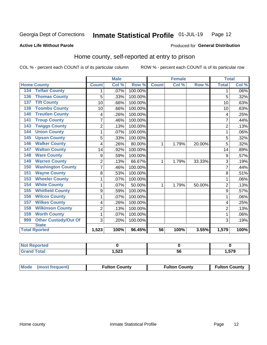#### Inmate Statistical Profile 01-JUL-19 Page 12

Produced for General Distribution

### **Active Life Without Parole**

# Home county, self-reported at entry to prison

COL % - percent each COUNT is of its particular column

|                                 |                | <b>Male</b> |         |                 | <b>Female</b> |        | <b>Total</b>   |       |
|---------------------------------|----------------|-------------|---------|-----------------|---------------|--------|----------------|-------|
| <b>Home County</b>              | <b>Count</b>   | Col %       | Row %   | <b>Count</b>    | Col %         | Row %  | <b>Total</b>   | Col % |
| <b>Telfair County</b><br>134    | 1              | .07%        | 100.00% |                 |               |        | 1              | .06%  |
| <b>Thomas County</b><br>136     | 5              | .33%        | 100.00% |                 |               |        | 5              | .32%  |
| <b>Tift County</b><br>137       | 10             | .66%        | 100.00% |                 |               |        | 10             | .63%  |
| <b>Toombs County</b><br>138     | 10             | .66%        | 100.00% |                 |               |        | 10             | .63%  |
| <b>Treutlen County</b><br>140   | 4              | .26%        | 100.00% |                 |               |        | 4              | .25%  |
| <b>Troup County</b><br>141      | $\overline{7}$ | .46%        | 100.00% |                 |               |        | 7              | .44%  |
| <b>Twiggs County</b><br>143     | $\overline{2}$ | .13%        | 100.00% |                 |               |        | $\overline{2}$ | .13%  |
| <b>Union County</b><br>144      | 1              | .07%        | 100.00% |                 |               |        | 1              | .06%  |
| <b>Upson County</b><br>145      | 5              | .33%        | 100.00% |                 |               |        | 5              | .32%  |
| <b>Walker County</b><br>146     | 4              | .26%        | 80.00%  | 1               | 1.79%         | 20.00% | 5              | .32%  |
| <b>Walton County</b><br>147     | 14             | .92%        | 100.00% |                 |               |        | 14             | .89%  |
| <b>Ware County</b><br>148       | 9              | .59%        | 100.00% |                 |               |        | 9              | .57%  |
| <b>Warren County</b><br>149     | $\overline{2}$ | .13%        | 66.67%  | 1               | 1.79%         | 33.33% | 3              | .19%  |
| <b>Washington County</b><br>150 | 7              | .46%        | 100.00% |                 |               |        | 7              | .44%  |
| <b>Wayne County</b><br>151      | 8              | .53%        | 100.00% |                 |               |        | 8              | .51%  |
| <b>Wheeler County</b><br>153    | 1              | .07%        | 100.00% |                 |               |        | 1              | .06%  |
| <b>White County</b><br>154      | 1              | .07%        | 50.00%  | 1               | 1.79%         | 50.00% | $\overline{2}$ | .13%  |
| <b>Whitfield County</b><br>155  | 9              | .59%        | 100.00% |                 |               |        | 9              | .57%  |
| <b>Wilcox County</b><br>156     | 1              | .07%        | 100.00% |                 |               |        | 1              | .06%  |
| <b>Wilkes County</b><br>157     | 4              | .26%        | 100.00% |                 |               |        | 4              | .25%  |
| <b>Wilkinson County</b><br>158  | $\overline{2}$ | .13%        | 100.00% |                 |               |        | $\overline{2}$ | .13%  |
| <b>Worth County</b><br>159      | 1              | .07%        | 100.00% |                 |               |        | 1              | .06%  |
| Other Custody/Out Of<br>999     | 3              | .20%        | 100.00% |                 |               |        | 3              | .19%  |
| <b>State</b>                    |                |             |         |                 |               |        |                |       |
| <b>Total Rported</b>            | 1,523          | 100%        | 96.45%  | $\overline{56}$ | 100%          | 3.55%  | 1,579          | 100%  |

| <b>Not Reported</b> |              |    |              |
|---------------------|--------------|----|--------------|
| <b>Total</b>        | EOC.<br>3∠3, | oc | --^<br>I.579 |

| Mode (most frequent) | <b>Fulton County</b> | <b>Fulton County</b> | <b>Fulton County</b> |
|----------------------|----------------------|----------------------|----------------------|
|----------------------|----------------------|----------------------|----------------------|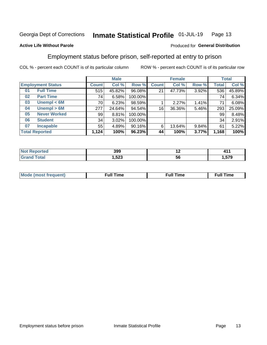#### Inmate Statistical Profile 01-JUL-19 Page 13

### **Active Life Without Parole**

### Produced for General Distribution

# Employment status before prison, self-reported at entry to prison

COL % - percent each COUNT is of its particular column

|                           |              | <b>Male</b> |         |              | <b>Female</b> |       |       | <b>Total</b> |  |
|---------------------------|--------------|-------------|---------|--------------|---------------|-------|-------|--------------|--|
| <b>Employment Status</b>  | <b>Count</b> | Col %       | Row %   | <b>Count</b> | Col %         | Row % | Total | Col %        |  |
| <b>Full Time</b><br>01    | 515          | 45.82%      | 96.08%  | 21           | 47.73%        | 3.92% | 536   | 45.89%       |  |
| <b>Part Time</b><br>02    | 74           | 6.58%       | 100.00% |              |               |       | 74    | 6.34%        |  |
| Unempl $<$ 6M<br>03       | 70 l         | 6.23%       | 98.59%  |              | 2.27%         | 1.41% | 71    | 6.08%        |  |
| Unempl > 6M<br>04         | 277          | 24.64%      | 94.54%  | 16           | 36.36%        | 5.46% | 293   | 25.09%       |  |
| <b>Never Worked</b><br>05 | 99           | 8.81%       | 100.00% |              |               |       | 99    | 8.48%        |  |
| <b>Student</b><br>06      | 34           | 3.02%       | 100.00% |              |               |       | 34    | 2.91%        |  |
| <b>Incapable</b><br>07    | 55           | 4.89%       | 90.16%  | 6            | 13.64%        | 9.84% | 61    | 5.22%        |  |
| <b>Total Reported</b>     | 1,124        | 100%        | 96.23%  | 44           | 100%          | 3.77% | 1,168 | 100%         |  |

| 399<br>- - -  | $\overline{\phantom{0}}$ | <u>ля</u><br>71 L   |
|---------------|--------------------------|---------------------|
| E00<br>د∡כ. ، | 50                       | <b>E70</b><br>ו ט.ו |

| Mc | ∙u∥<br>----<br>ıme | ίuΙ<br>Πmε |
|----|--------------------|------------|
|    |                    |            |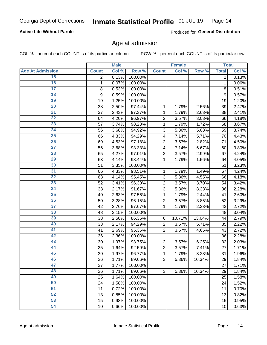### **Active Life Without Parole**

Produced for General Distribution

# Age at admission

COL % - percent each COUNT is of its particular column

|                         |              | <b>Male</b> |         |                | <b>Female</b> |        |              | <b>Total</b> |
|-------------------------|--------------|-------------|---------|----------------|---------------|--------|--------------|--------------|
| <b>Age At Admission</b> | <b>Count</b> | Col %       | Row %   | <b>Count</b>   | Col %         | Row %  | <b>Total</b> | Col %        |
| 15                      | 2            | 0.13%       | 100.00% |                |               |        | 2            | 0.13%        |
| 16                      | 1            | 0.07%       | 100.00% |                |               |        | 1            | 0.06%        |
| $\overline{17}$         | 8            | 0.53%       | 100.00% |                |               |        | 8            | 0.51%        |
| 18                      | 9            | 0.59%       | 100.00% |                |               |        | 9            | 0.57%        |
| 19                      | 19           | 1.25%       | 100.00% |                |               |        | 19           | 1.20%        |
| $\overline{20}$         | 38           | 2.50%       | 97.44%  | 1              | 1.79%         | 2.56%  | 39           | 2.47%        |
| $\overline{21}$         | 37           | 2.43%       | 97.37%  | 1              | 1.79%         | 2.63%  | 38           | 2.41%        |
| 22                      | 64           | 4.20%       | 96.97%  | $\overline{2}$ | 3.57%         | 3.03%  | 66           | 4.18%        |
| 23                      | 57           | 3.74%       | 98.28%  | 1              | 1.79%         | 1.72%  | 58           | 3.67%        |
| 24                      | 56           | 3.68%       | 94.92%  | 3              | 5.36%         | 5.08%  | 59           | 3.74%        |
| $\overline{25}$         | 66           | 4.33%       | 94.29%  | 4              | 7.14%         | 5.71%  | 70           | 4.43%        |
| 26                      | 69           | 4.53%       | 97.18%  | $\overline{2}$ | 3.57%         | 2.82%  | 71           | 4.50%        |
| $\overline{27}$         | 56           | 3.68%       | 93.33%  | 4              | 7.14%         | 6.67%  | 60           | 3.80%        |
| 28                      | 65           | 4.27%       | 97.01%  | $\overline{2}$ | 3.57%         | 2.99%  | 67           | 4.24%        |
| 29                      | 63           | 4.14%       | 98.44%  | 1              | 1.79%         | 1.56%  | 64           | 4.05%        |
| 30                      | 51           | 3.35%       | 100.00% |                |               |        | 51           | 3.23%        |
| $\overline{31}$         | 66           | 4.33%       | 98.51%  | 1              | 1.79%         | 1.49%  | 67           | 4.24%        |
| 32                      | 63           | 4.14%       | 95.45%  | 3              | 5.36%         | 4.55%  | 66           | 4.18%        |
| 33                      | 52           | 3.41%       | 96.30%  | $\overline{2}$ | 3.57%         | 3.70%  | 54           | 3.42%        |
| 34                      | 33           | 2.17%       | 91.67%  | 3              | 5.36%         | 8.33%  | 36           | 2.28%        |
| 35                      | 40           | 2.63%       | 97.56%  | 1              | 1.79%         | 2.44%  | 41           | 2.60%        |
| 36                      | 50           | 3.28%       | 96.15%  | $\overline{2}$ | 3.57%         | 3.85%  | 52           | 3.29%        |
| 37                      | 42           | 2.76%       | 97.67%  | 1              | 1.79%         | 2.33%  | 43           | 2.72%        |
| 38                      | 48           | 3.15%       | 100.00% |                |               |        | 48           | 3.04%        |
| 39                      | 38           | 2.50%       | 86.36%  | 6              | 10.71%        | 13.64% | 44           | 2.79%        |
| 40                      | 33           | 2.17%       | 94.29%  | $\overline{2}$ | 3.57%         | 5.71%  | 35           | 2.22%        |
| 41                      | 41           | 2.69%       | 95.35%  | $\overline{2}$ | 3.57%         | 4.65%  | 43           | 2.72%        |
| 42                      | 36           | 2.36%       | 100.00% |                |               |        | 36           | 2.28%        |
| 43                      | 30           | 1.97%       | 93.75%  | $\overline{2}$ | 3.57%         | 6.25%  | 32           | 2.03%        |
| 44                      | 25           | 1.64%       | 92.59%  | $\overline{2}$ | 3.57%         | 7.41%  | 27           | 1.71%        |
| 45                      | 30           | 1.97%       | 96.77%  | 1              | 1.79%         | 3.23%  | 31           | 1.96%        |
| 46                      | 26           | 1.71%       | 89.66%  | 3              | 5.36%         | 10.34% | 29           | 1.84%        |
| 47                      | 27           | 1.77%       | 100.00% |                |               |        | 27           | 1.71%        |
| 48                      | 26           | 1.71%       | 89.66%  | 3              | 5.36%         | 10.34% | 29           | 1.84%        |
| 49                      | 25           | 1.64%       | 100.00% |                |               |        | 25           | 1.58%        |
| 50                      | 24           | 1.58%       | 100.00% |                |               |        | 24           | 1.52%        |
| $\overline{51}$         | 11           | 0.72%       | 100.00% |                |               |        | 11           | 0.70%        |
| 52                      | 13           | 0.85%       | 100.00% |                |               |        | 13           | 0.82%        |
| 53                      | 15           | 0.98%       | 100.00% |                |               |        | 15           | 0.95%        |
| 54                      | 10           | 0.66%       | 100.00% |                |               |        | 10           | 0.63%        |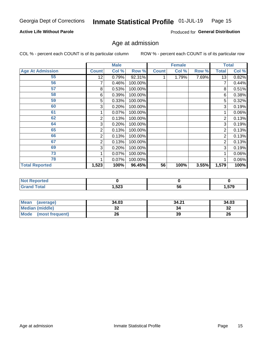### **Active Life Without Parole**

Produced for General Distribution

# Age at admission

COL % - percent each COUNT is of its particular column

|                         |              | <b>Male</b> |         |              | <b>Female</b> |       |              | <b>Total</b> |
|-------------------------|--------------|-------------|---------|--------------|---------------|-------|--------------|--------------|
| <b>Age At Admission</b> | <b>Count</b> | Col %       | Row %   | <b>Count</b> | Col %         | Row % | <b>Total</b> | Col %        |
| 55                      | 12           | 0.79%       | 92.31%  |              | 1.79%         | 7.69% | 13           | 0.82%        |
| 56                      | 7            | 0.46%       | 100.00% |              |               |       |              | 0.44%        |
| 57                      | 8            | 0.53%       | 100.00% |              |               |       | 8            | 0.51%        |
| 58                      | 6            | 0.39%       | 100.00% |              |               |       | 6            | 0.38%        |
| 59                      | 5            | 0.33%       | 100.00% |              |               |       | 5            | 0.32%        |
| 60                      | 3            | 0.20%       | 100.00% |              |               |       | 3            | 0.19%        |
| 61                      |              | $0.07\%$    | 100.00% |              |               |       |              | 0.06%        |
| 62                      | 2            | 0.13%       | 100.00% |              |               |       | 2            | 0.13%        |
| 64                      | 3            | 0.20%       | 100.00% |              |               |       | 3            | 0.19%        |
| 65                      | 2            | 0.13%       | 100.00% |              |               |       | 2            | 0.13%        |
| 66                      | 2            | 0.13%       | 100.00% |              |               |       | 2            | 0.13%        |
| 67                      | 2            | 0.13%       | 100.00% |              |               |       | 2            | 0.13%        |
| 69                      | 3            | 0.20%       | 100.00% |              |               |       | 3            | 0.19%        |
| 73                      |              | 0.07%       | 100.00% |              |               |       |              | 0.06%        |
| 78                      |              | 0.07%       | 100.00% |              |               |       |              | 0.06%        |
| <b>Total Reported</b>   | 1,523        | 100%        | 96.45%  | 56           | 100%          | 3.55% | 1,579        | 100%         |

| <b>Not Reported</b> |       |    |                     |
|---------------------|-------|----|---------------------|
| <b>Total</b>        | 1,523 | 56 | $- - -$<br>. .<br>. |

| Mean (average)         | 34.03 | 34.21 | 34.03    |
|------------------------|-------|-------|----------|
| <b>Median (middle)</b> | ^^    |       | ົ<br>-52 |
| Mode (most frequent)   | 26    | 39    | 26       |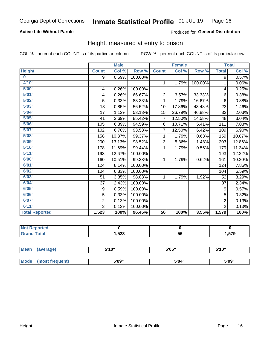### **Active Life Without Parole**

### Produced for General Distribution

# Height, measured at entry to prison

COL % - percent each COUNT is of its particular column

|                       |                | <b>Male</b> |         |                 | <b>Female</b> |         |                | <b>Total</b> |
|-----------------------|----------------|-------------|---------|-----------------|---------------|---------|----------------|--------------|
| <b>Height</b>         | <b>Count</b>   | Col %       | Row %   | <b>Count</b>    | Col %         | Row %   | <b>Total</b>   | Col %        |
| $\bf{0}$              | 9              | 0.59%       | 100.00% |                 |               |         | 9              | 0.57%        |
| 4'10''                |                |             |         | $\mathbf{1}$    | 1.79%         | 100.00% | 1              | 0.06%        |
| 5'00''                | 4              | 0.26%       | 100.00% |                 |               |         | 4              | 0.25%        |
| 5'01"                 | 4              | 0.26%       | 66.67%  | $\overline{2}$  | 3.57%         | 33.33%  | 6              | 0.38%        |
| 5'02"                 | 5              | 0.33%       | 83.33%  | 1               | 1.79%         | 16.67%  | $6\phantom{1}$ | 0.38%        |
| 5'03''                | 13             | 0.85%       | 56.52%  | 10              | 17.86%        | 43.48%  | 23             | 1.46%        |
| 5'04"                 | 17             | 1.12%       | 53.13%  | 15              | 26.79%        | 46.88%  | 32             | 2.03%        |
| 5'05"                 | 41             | 2.69%       | 85.42%  | $\overline{7}$  | 12.50%        | 14.58%  | 48             | 3.04%        |
| 5'06''                | 105            | 6.89%       | 94.59%  | 6               | 10.71%        | 5.41%   | 111            | 7.03%        |
| 5'07"                 | 102            | 6.70%       | 93.58%  | 7               | 12.50%        | 6.42%   | 109            | 6.90%        |
| 5'08''                | 158            | 10.37%      | 99.37%  | 1               | 1.79%         | 0.63%   | 159            | 10.07%       |
| 5'09''                | 200            | 13.13%      | 98.52%  | 3               | 5.36%         | 1.48%   | 203            | 12.86%       |
| 5'10''                | 178            | 11.69%      | 99.44%  | 1               | 1.79%         | 0.56%   | 179            | 11.34%       |
| 5'11"                 | 193            | 12.67%      | 100.00% |                 |               |         | 193            | 12.22%       |
| 6'00''                | 160            | 10.51%      | 99.38%  | 1.              | 1.79%         | 0.62%   | 161            | 10.20%       |
| 6'01''                | 124            | 8.14%       | 100.00% |                 |               |         | 124            | 7.85%        |
| 6'02"                 | 104            | 6.83%       | 100.00% |                 |               |         | 104            | 6.59%        |
| 6'03''                | 51             | 3.35%       | 98.08%  | $\mathbf{1}$    | 1.79%         | 1.92%   | 52             | 3.29%        |
| 6'04"                 | 37             | 2.43%       | 100.00% |                 |               |         | 37             | 2.34%        |
| 6'05"                 | 9              | 0.59%       | 100.00% |                 |               |         | 9              | 0.57%        |
| 6'06''                | 5              | 0.33%       | 100.00% |                 |               |         | 5              | 0.32%        |
| 6'07''                | $\overline{2}$ | 0.13%       | 100.00% |                 |               |         | $\overline{2}$ | 0.13%        |
| 6'11''                | $\overline{2}$ | 0.13%       | 100.00% |                 |               |         | $\overline{2}$ | 0.13%        |
| <b>Total Reported</b> | 1,523          | 100%        | 96.45%  | $\overline{56}$ | 100%          | 3.55%   | 1,579          | 100%         |

| Reported     |                        |    |      |
|--------------|------------------------|----|------|
| <b>Total</b> | ,523<br>. <del>.</del> | 56 | .579 |

| <b>Mean</b> | (average)       | 5'10" | 5'05" | 5'10" |
|-------------|-----------------|-------|-------|-------|
|             |                 |       |       |       |
| Mode        | (most frequent) | 5'09" | 5'04" | 5'09" |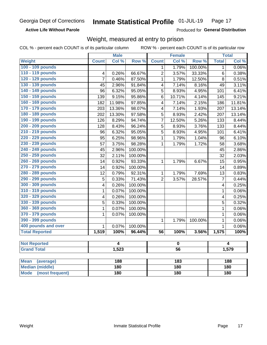**Active Life Without Parole** 

Produced for General Distribution

# Weight, measured at entry to prison

COL % - percent each COUNT is of its particular column

|                          |                         | <b>Male</b> |         |                         | <b>Female</b> |         |                | <b>Total</b> |  |
|--------------------------|-------------------------|-------------|---------|-------------------------|---------------|---------|----------------|--------------|--|
| <b>Weight</b>            | <b>Count</b>            | Col %       | Row %   | <b>Count</b>            | Col %         | Row %   | <b>Total</b>   | Col %        |  |
| 100 - 109 pounds         |                         |             |         | 1                       | 1.79%         | 100.00% | 1              | 0.06%        |  |
| 110 - 119 pounds         | 4                       | 0.26%       | 66.67%  | 2                       | 3.57%         | 33.33%  | 6              | 0.38%        |  |
| 120 - 129 pounds         | 7                       | 0.46%       | 87.50%  | $\mathbf{1}$            | 1.79%         | 12.50%  | 8              | 0.51%        |  |
| 130 - 139 pounds         | 45                      | 2.96%       | 91.84%  | 4                       | 7.14%         | 8.16%   | 49             | 3.11%        |  |
| 140 - 149 pounds         | 96                      | 6.32%       | 95.05%  | 5                       | 8.93%         | 4.95%   | 101            | 6.41%        |  |
| 150 - 159 pounds         | 139                     | 9.15%       | 95.86%  | 6                       | 10.71%        | 4.14%   | 145            | 9.21%        |  |
| 160 - 169 pounds         | 182                     | 11.98%      | 97.85%  | $\overline{\mathbf{4}}$ | 7.14%         | 2.15%   | 186            | 11.81%       |  |
| 170 - 179 pounds         | 203                     | 13.36%      | 98.07%  | $\overline{\mathbf{4}}$ | 7.14%         | 1.93%   | 207            | 13.14%       |  |
| 180 - 189 pounds         | 202                     | 13.30%      | 97.58%  | 5                       | 8.93%         | 2.42%   | 207            | 13.14%       |  |
| 190 - 199 pounds         | 126                     | 8.29%       | 94.74%  | 7                       | 12.50%        | 5.26%   | 133            | 8.44%        |  |
| 200 - 209 pounds         | 128                     | 8.43%       | 96.24%  | 5                       | 8.93%         | 3.76%   | 133            | 8.44%        |  |
| 210 - 219 pounds         | 96                      | 6.32%       | 95.05%  | $\overline{5}$          | 8.93%         | 4.95%   | 101            | 6.41%        |  |
| 220 - 229 pounds         | 95                      | 6.25%       | 98.96%  | $\mathbf{1}$            | 1.79%         | 1.04%   | 96             | 6.10%        |  |
| 230 - 239 pounds         | 57                      | 3.75%       | 98.28%  | $\mathbf{1}$            | 1.79%         | 1.72%   | 58             | 3.68%        |  |
| 240 - 249 pounds         | 45                      | 2.96%       | 100.00% |                         |               |         | 45             | 2.86%        |  |
| 250 - 259 pounds         | 32                      | 2.11%       | 100.00% |                         |               |         | 32             | 2.03%        |  |
| 260 - 269 pounds         | 14                      | 0.92%       | 93.33%  | $\mathbf{1}$            | 1.79%         | 6.67%   | 15             | 0.95%        |  |
| 270 - 279 pounds         | 14                      | 0.92%       | 100.00% |                         |               |         | 14             | 0.89%        |  |
| 280 - 289 pounds         | 12                      | 0.79%       | 92.31%  | $\mathbf{1}$            | 1.79%         | 7.69%   | 13             | 0.83%        |  |
| 290 - 299 pounds         | $\overline{5}$          | 0.33%       | 71.43%  | $\overline{2}$          | 3.57%         | 28.57%  | $\overline{7}$ | 0.44%        |  |
| 300 - 309 pounds         | 4                       | 0.26%       | 100.00% |                         |               |         | 4              | 0.25%        |  |
| 310 - 319 pounds         | 1                       | 0.07%       | 100.00% |                         |               |         | 1              | 0.06%        |  |
| 320 - 329 pounds         | $\overline{\mathbf{4}}$ | 0.26%       | 100.00% |                         |               |         | 4              | 0.25%        |  |
| 330 - 339 pounds         | 5                       | 0.33%       | 100.00% |                         |               |         | 5              | 0.32%        |  |
| 360 - 369 pounds         | $\mathbf 1$             | 0.07%       | 100.00% |                         |               |         | $\mathbf{1}$   | 0.06%        |  |
| 370 - 379 pounds         | 1                       | 0.07%       | 100.00% |                         |               |         | $\mathbf{1}$   | 0.06%        |  |
| 390 - 399 pounds         |                         |             |         | $\mathbf 1$             | 1.79%         | 100.00% | $\mathbf{1}$   | 0.06%        |  |
| 400 pounds and over      | $\mathbf{1}$            | 0.07%       | 100.00% |                         |               |         | $\mathbf{1}$   | 0.06%        |  |
| <b>Total Reported</b>    | 1,519                   | 100%        | 96.44%  | 56                      | 100%          | 3.56%   | 1,575          | 100%         |  |
|                          |                         |             |         |                         |               |         |                |              |  |
| <b>Not Reported</b>      |                         | 4           |         | $\mathbf 0$             |               |         | 4              |              |  |
| <b>Grand Total</b>       |                         | 1,523       |         | $\overline{56}$         |               |         | 1,579          |              |  |
|                          |                         |             |         |                         |               |         |                |              |  |
| <b>Mean</b><br>(average) |                         | 188         |         |                         | 183           |         |                | 188          |  |

| <b>Mean</b><br>(average)       | 188 | 183 | 188 |
|--------------------------------|-----|-----|-----|
| <b>Median (middle)</b>         | 180 | 180 | 180 |
| <b>Mode</b><br>(most frequent) | 180 | 180 | 180 |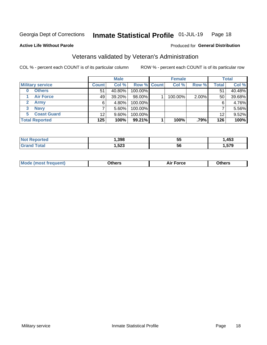#### Inmate Statistical Profile 01-JUL-19 Page 18

**Active Life Without Parole** 

#### Produced for General Distribution

# Veterans validated by Veteran's Administration

COL % - percent each COUNT is of its particular column

|                             | <b>Male</b>  |           |             | <b>Female</b> |         |       | <b>Total</b> |        |
|-----------------------------|--------------|-----------|-------------|---------------|---------|-------|--------------|--------|
| <b>Military service</b>     | <b>Count</b> | Col %     | Row % Count |               | Col %   | Row % | <b>Total</b> | Col %  |
| <b>Others</b>               | 51           | $40.80\%$ | 100.00%     |               |         |       | 51           | 40.48% |
| <b>Air Force</b>            | 49           | 39.20%    | 98.00%      |               | 100.00% | 2.00% | 50           | 39.68% |
| $\mathbf{2}$<br><b>Army</b> | 6            | 4.80%     | 100.00%     |               |         |       | 6            | 4.76%  |
| <b>Navy</b><br>3            |              | $5.60\%$  | 100.00%     |               |         |       |              | 5.56%  |
| <b>Coast Guard</b><br>5.    | 12           | $9.60\%$  | 100.00%     |               |         |       | 12           | 9.52%  |
| <b>Total Reported</b>       | 125          | 100%      | 99.21%      |               | 100%    | .79%  | 126          | 100%   |

| .398         | --<br>ು   | <b>A53</b><br>נים |
|--------------|-----------|-------------------|
| にへへ<br>د∡ت,⊧ | <b>56</b> | --^               |

| Mo<br>m | ∖‡h∧rc<br>____ | $-0.002$<br>28 F T<br>UI CE | <b>Others</b><br>____ |
|---------|----------------|-----------------------------|-----------------------|
|         |                |                             |                       |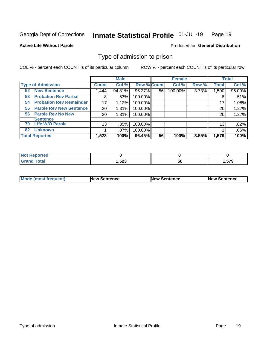#### Inmate Statistical Profile 01-JUL-19 Page 19

**Active Life Without Parole** 

Produced for General Distribution

# Type of admission to prison

COL % - percent each COUNT is of its particular column

|                                      |                 | <b>Male</b> |                    |    | <b>Female</b> |       |              | <b>Total</b> |
|--------------------------------------|-----------------|-------------|--------------------|----|---------------|-------|--------------|--------------|
| <b>Type of Admission</b>             | <b>Count</b>    | Col %       | <b>Row % Count</b> |    | Col %         | Row % | <b>Total</b> | Col %        |
| <b>New Sentence</b><br>52            | 1,444           | 94.81%      | 96.27%             | 56 | 100.00%       | 3.73% | 1,500        | 95.00%       |
| <b>Probation Rev Partial</b><br>53   | 8               | .53%        | 100.00%            |    |               |       | 8            | .51%         |
| <b>Probation Rev Remainder</b><br>54 | 17              | 1.12%       | 100.00%            |    |               |       | 17           | 1.08%        |
| <b>Parole Rev New Sentence</b><br>55 | 20              | 1.31%       | 100.00%            |    |               |       | 20           | 1.27%        |
| <b>Parole Rev No New</b><br>56       | 20 <sup>°</sup> | 1.31%       | 100.00%            |    |               |       | 20           | 1.27%        |
| <b>Sentence</b>                      |                 |             |                    |    |               |       |              |              |
| <b>Life W/O Parole</b><br>70         | 13              | .85%        | 100.00%            |    |               |       | 13           | .82%         |
| <b>Unknown</b><br>82                 |                 | $.07\%$     | 100.00%            |    |               |       |              | .06%         |
| <b>Total Reported</b>                | 1,523           | 100%        | 96.45%             | 56 | 100%          | 3.55% | 1,579        | 100%         |

| Reported<br><b>NOT</b> |               |                |       |
|------------------------|---------------|----------------|-------|
| <b>Total</b><br>Gra    | E00<br>د∡כ, . | - -<br>-<br>วง | . 579 |

| Mode (most frequent) | <b>New Sentence</b> | <b>New Sentence</b> | <b>New Sentence</b> |
|----------------------|---------------------|---------------------|---------------------|
|                      |                     |                     |                     |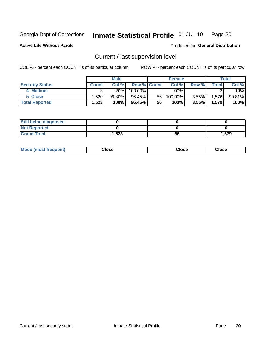#### Inmate Statistical Profile 01-JUL-19 Page 20

**Active Life Without Parole** 

### Produced for General Distribution

# Current / last supervision level

COL % - percent each COUNT is of its particular column

|                        | <b>Male</b>  |           |                    | <b>Female</b> |         |          | <b>Total</b>             |        |
|------------------------|--------------|-----------|--------------------|---------------|---------|----------|--------------------------|--------|
| <b>Security Status</b> | <b>Count</b> | Col%      | <b>Row % Count</b> |               | Col %   | Row %    | $\mathsf{Total}_{\perp}$ | Col %  |
| 4 Medium               |              | .20%      | 100.00%            |               | .00%    |          | ົ                        | .19%   |
| 5 Close                | 1,520        | $99.80\%$ | 96.45%             | 56            | 100.00% | $3.55\%$ | 1,576                    | 99.81% |
| <b>Total Reported</b>  | 1,523        | 100%      | 96.45%             | 56            | $100\%$ | 3.55%    | 1,579                    | 100%   |

| <b>Still being diagnosed</b> |       |    |       |
|------------------------------|-------|----|-------|
| <b>Not Reported</b>          |       |    |       |
| <b>Grand Total</b>           | 1,523 | 56 | 1,579 |

| <b>AhoM</b><br>rreauent) | <b>Close</b> | Close | Close |
|--------------------------|--------------|-------|-------|
|                          |              |       |       |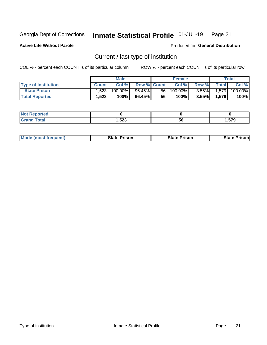#### Inmate Statistical Profile 01-JUL-19 Page 21

**Active Life Without Parole** 

Produced for General Distribution

# Current / last type of institution

COL % - percent each COUNT is of its particular column

|                            | <b>Male</b>  |         |                    | <b>Female</b> |            |          | Total        |         |
|----------------------------|--------------|---------|--------------------|---------------|------------|----------|--------------|---------|
| <b>Type of Institution</b> | <b>Count</b> | Col %   | <b>Row % Count</b> |               | Col %      | Row %    | <b>Total</b> | Col %   |
| <b>State Prison</b>        | 1,523        | 100.00% | 96.45%             | 56            | $100.00\%$ | $3.55\%$ | 1,579        | 100.00% |
| <b>Total Reported</b>      | 1,523        | 100%    | 96.45%             | 56            | 100%       | $3.55\%$ | 1,579        | 100%    |

| τeα<br>. |              |    |         |
|----------|--------------|----|---------|
|          | よつつ<br>د∡ت,⊧ | Эt | $- - -$ |

| <b>Mode (most frequent)</b> | State Prison | <b>State Prison</b> | State<br>⊦ Prisonl |
|-----------------------------|--------------|---------------------|--------------------|
|                             |              |                     |                    |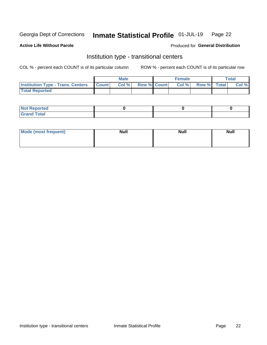#### Inmate Statistical Profile 01-JUL-19 Page 22

#### **Active Life Without Parole**

### Produced for General Distribution

# Institution type - transitional centers

COL % - percent each COUNT is of its particular column

|                                                | <b>Male</b> |                          | <b>Female</b> |             | <b>Total</b> |
|------------------------------------------------|-------------|--------------------------|---------------|-------------|--------------|
| <b>Institution Type - Trans. Centers Count</b> |             | <b>Col %</b> Row % Count | Col %         | Row % Total | Col %        |
| <b>Total Reported</b>                          |             |                          |               |             |              |

| <b>Reported</b><br><b>NOT</b><br>$\sim$            |  |  |
|----------------------------------------------------|--|--|
| $f$ $f \circ f \circ f$<br>$C = 1$<br><b>TULAI</b> |  |  |

| Mode (most frequent) | <b>Null</b> | <b>Null</b> | <b>Null</b> |
|----------------------|-------------|-------------|-------------|
|                      |             |             |             |
|                      |             |             |             |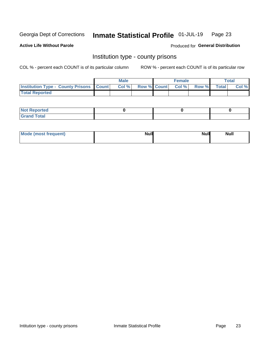#### Inmate Statistical Profile 01-JUL-19 Page 23

**Active Life Without Parole** 

**Produced for General Distribution** 

# Institution type - county prisons

COL % - percent each COUNT is of its particular column

|                                                    | <b>Male</b> |  | <b>Female</b>            |             | <b>Total</b> |
|----------------------------------------------------|-------------|--|--------------------------|-------------|--------------|
| <b>Institution Type - County Prisons   Count  </b> | Col %       |  | <b>Row % Count Col %</b> | Row % Total | Col %        |
| <b>Total Reported</b>                              |             |  |                          |             |              |

| <b>Not Reported</b>   |  |  |
|-----------------------|--|--|
| <b>Total</b><br>Granc |  |  |

| Mode (most frequent) | <b>Null</b> | <b>Null</b><br><b>Null</b> |
|----------------------|-------------|----------------------------|
|                      |             |                            |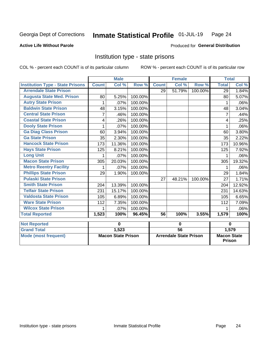#### Inmate Statistical Profile 01-JUL-19 Page 24

### **Active Life Without Parole**

### **Produced for General Distribution**

# Institution type - state prisons

COL % - percent each COUNT is of its particular column

|                                         |              | <b>Male</b>               |         | <b>Female</b>   |                               | <b>Total</b> |                                     |        |
|-----------------------------------------|--------------|---------------------------|---------|-----------------|-------------------------------|--------------|-------------------------------------|--------|
| <b>Institution Type - State Prisons</b> | <b>Count</b> | Col %                     | Row %   | <b>Count</b>    | Col %                         | Row %        | <b>Total</b>                        | Col %  |
| <b>Arrendale State Prison</b>           |              |                           |         | 29              | 51.79%                        | 100.00%      | 29                                  | 1.84%  |
| <b>Augusta State Med. Prison</b>        | 80           | 5.25%                     | 100.00% |                 |                               |              | 80                                  | 5.07%  |
| <b>Autry State Prison</b>               | 1            | .07%                      | 100.00% |                 |                               |              | 1                                   | .06%   |
| <b>Baldwin State Prison</b>             | 48           | 3.15%                     | 100.00% |                 |                               |              | 48                                  | 3.04%  |
| <b>Central State Prison</b>             | 7            | .46%                      | 100.00% |                 |                               |              | 7                                   | .44%   |
| <b>Coastal State Prison</b>             | 4            | .26%                      | 100.00% |                 |                               |              | 4                                   | .25%   |
| <b>Dooly State Prison</b>               | 1            | .07%                      | 100.00% |                 |                               |              | 1                                   | .06%   |
| <b>Ga Diag Class Prison</b>             | 60           | 3.94%                     | 100.00% |                 |                               |              | 60                                  | 3.80%  |
| <b>Ga State Prison</b>                  | 35           | 2.30%                     | 100.00% |                 |                               |              | 35                                  | 2.22%  |
| <b>Hancock State Prison</b>             | 173          | 11.36%                    | 100.00% |                 |                               |              | 173                                 | 10.96% |
| <b>Hays State Prison</b>                | 125          | 8.21%                     | 100.00% |                 |                               |              | 125                                 | 7.92%  |
| <b>Long Unit</b>                        | 1            | .07%                      | 100.00% |                 |                               |              | 1                                   | .06%   |
| <b>Macon State Prison</b>               | 305          | 20.03%                    | 100.00% |                 |                               |              | 305                                 | 19.32% |
| <b>Metro Reentry Facility</b>           | 1            | .07%                      | 100.00% |                 |                               |              | 1                                   | .06%   |
| <b>Phillips State Prison</b>            | 29           | 1.90%                     | 100.00% |                 |                               |              | 29                                  | 1.84%  |
| <b>Pulaski State Prison</b>             |              |                           |         | 27              | 48.21%                        | 100.00%      | 27                                  | 1.71%  |
| <b>Smith State Prison</b>               | 204          | 13.39%                    | 100.00% |                 |                               |              | 204                                 | 12.92% |
| <b>Telfair State Prison</b>             | 231          | 15.17%                    | 100.00% |                 |                               |              | 231                                 | 14.63% |
| <b>Valdosta State Prison</b>            | 105          | 6.89%                     | 100.00% |                 |                               |              | 105                                 | 6.65%  |
| <b>Ware State Prison</b>                | 112          | 7.35%                     | 100.00% |                 |                               |              | 112                                 | 7.09%  |
| <b>Wilcox State Prison</b>              |              | .07%                      | 100.00% |                 |                               |              |                                     | .06%   |
| <b>Total Reported</b>                   | 1,523        | 100%                      | 96.45%  | 56              | 100%                          | 3.55%        | 1,579                               | 100%   |
| <b>Not Reported</b>                     |              | $\mathbf 0$               |         |                 | $\bf{0}$                      |              | $\bf{0}$                            |        |
| <b>Grand Total</b>                      |              | 1,523                     |         | $\overline{56}$ |                               |              |                                     | 1,579  |
| <b>Mode (most frequent)</b>             |              | <b>Macon State Prison</b> |         |                 | <b>Arrendale State Prison</b> |              | <b>Macon State</b><br><b>Prison</b> |        |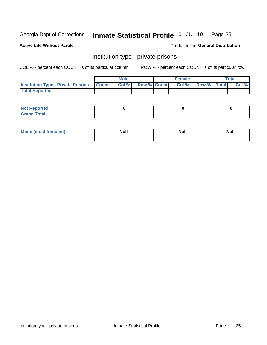#### Inmate Statistical Profile 01-JUL-19 Page 25

**Active Life Without Parole** 

Produced for General Distribution

# Institution type - private prisons

COL % - percent each COUNT is of its particular column

|                                                     | <b>Male</b> |                    | <b>Female</b> |             | Total |
|-----------------------------------------------------|-------------|--------------------|---------------|-------------|-------|
| <b>Institution Type - Private Prisons   Count  </b> | Col %       | <b>Row % Count</b> | Col %         | Row % Total | Col % |
| <b>Total Reported</b>                               |             |                    |               |             |       |

| Not Reported          |  |  |
|-----------------------|--|--|
| <b>Cotal</b><br>_____ |  |  |

| <b>Mo</b><br>frequent) | <b>Null</b> | <b>Null</b> | . . I *<br><b>IVUII</b> |
|------------------------|-------------|-------------|-------------------------|
|                        |             |             |                         |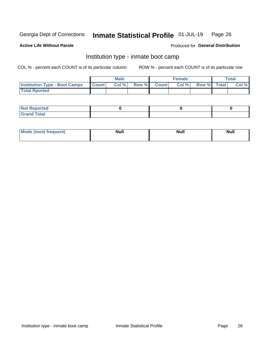#### Inmate Statistical Profile 01-JUL-19 Page 26

### **Active Life Without Parole**

### Produced for General Distribution

# Institution type - inmate boot camp

COL % - percent each COUNT is of its particular column

|                                      |              | <b>Male</b> |             | <b>Female</b> |             | Total |
|--------------------------------------|--------------|-------------|-------------|---------------|-------------|-------|
| <b>Institution Type - Boot Camps</b> | <b>Count</b> | Col %       | Row % Count | Col%          | Row % Total | Col % |
| <b>Total Rported</b>                 |              |             |             |               |             |       |

| <b>Not Reported</b>                   |  |  |
|---------------------------------------|--|--|
| <b>Total</b><br><b>C HAM</b><br>_____ |  |  |

| Mod<br>uamo | Nul.<br>$- - - - - -$ | <b>Null</b> | . .<br>uu.<br>------ |
|-------------|-----------------------|-------------|----------------------|
|             |                       |             |                      |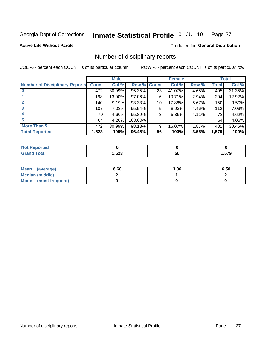#### Inmate Statistical Profile 01-JUL-19 Page 27

**Active Life Without Parole** 

Produced for General Distribution

# Number of disciplinary reports

COL % - percent each COUNT is of its particular column

|                                       |              | <b>Male</b> |                    |    | <b>Female</b> |       |       | <b>Total</b> |
|---------------------------------------|--------------|-------------|--------------------|----|---------------|-------|-------|--------------|
| <b>Number of Disciplinary Reports</b> | <b>Count</b> | Col %       | <b>Row % Count</b> |    | Col %         | Row % | Total | Col %        |
|                                       | 472          | 30.99%      | 95.35%             | 23 | 41.07%        | 4.65% | 495   | 31.35%       |
|                                       | 198          | 13.00%      | 97.06%             | 6  | 10.71%        | 2.94% | 204   | 12.92%       |
|                                       | 140          | 9.19%       | 93.33%             | 10 | 17.86%        | 6.67% | 150   | 9.50%        |
| 3                                     | 107          | 7.03%       | 95.54%             | 5  | 8.93%         | 4.46% | 112   | 7.09%        |
|                                       | 70           | 4.60%       | 95.89%             | 3  | 5.36%         | 4.11% | 73    | 4.62%        |
| 5                                     | 64           | 4.20%       | 100.00%            |    |               |       | 64    | 4.05%        |
| <b>More Than 5</b>                    | 472          | 30.99%      | 98.13%             | 9  | 16.07%        | 1.87% | 481   | 30.46%       |
| <b>Total Reported</b>                 | 1,523        | 100%        | 96.45%             | 56 | 100%          | 3.55% | 1,579 | 100%         |

| NO<br>чес |      |    |       |
|-----------|------|----|-------|
| Гоtal     | ,523 | วง | 579،، |

| Mean (average)       | 6.60 | 3.86 | 6.50 |
|----------------------|------|------|------|
| Median (middle)      |      |      |      |
| Mode (most frequent) |      |      |      |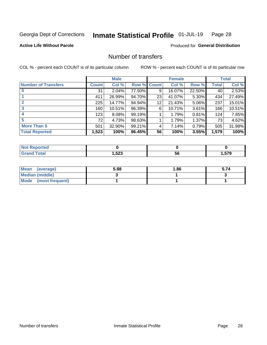#### Inmate Statistical Profile 01-JUL-19 Page 28

### **Active Life Without Parole**

#### Produced for General Distribution

# Number of transfers

COL % - percent each COUNT is of its particular column

|                            |         | <b>Male</b> |        |              | <b>Female</b> |          |              | <b>Total</b> |
|----------------------------|---------|-------------|--------|--------------|---------------|----------|--------------|--------------|
| <b>Number of Transfers</b> | Count l | Col %       | Row %  | <b>Count</b> | Col %         | Row %    | <b>Total</b> | Col %        |
|                            | 31      | 2.04%       | 77.50% | 9            | 16.07%        | 22.50%   | 40           | 2.53%        |
|                            | 411     | 26.99%      | 94.70% | 23           | 41.07%        | $5.30\%$ | 434          | 27.49%       |
| $\mathbf{2}$               | 225     | 14.77%      | 94.94% | 12           | 21.43%        | 5.06%    | 237          | 15.01%       |
| 3                          | 160     | 10.51%      | 96.39% | 6            | 10.71%        | $3.61\%$ | 166          | 10.51%       |
|                            | 123     | 8.08%       | 99.19% |              | 1.79%         | 0.81%    | 124          | 7.85%        |
| 5                          | 72      | 4.73%       | 98.63% |              | 1.79%         | 1.37%    | 73           | 4.62%        |
| <b>More Than 5</b>         | 501     | 32.90%      | 99.21% | 4            | 7.14%         | 0.79%    | 505          | 31.98%       |
| <b>Total Reported</b>      | 1,523   | 100%        | 96.45% | 56           | 100%          | 3.55%    | 1,579        | 100%         |

| NO<br>чес |      |    |       |
|-----------|------|----|-------|
| Гоtal     | ,523 | วง | 579،، |

| Mean (average)       | 5.88 | 1.86 | 5.74 |
|----------------------|------|------|------|
| Median (middle)      |      |      |      |
| Mode (most frequent) |      |      |      |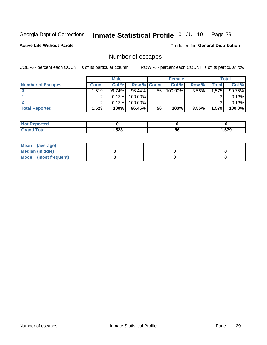#### Inmate Statistical Profile 01-JUL-19 Page 29

**Active Life Without Parole** 

Produced for General Distribution

# Number of escapes

COL % - percent each COUNT is of its particular column

|                          |              | <b>Male</b> |                    |    | <b>Female</b> |       |       | Total  |
|--------------------------|--------------|-------------|--------------------|----|---------------|-------|-------|--------|
| <b>Number of Escapes</b> | <b>Count</b> | Col %       | <b>Row % Count</b> |    | Col %         | Row % | Total | Col %  |
|                          | .519         | $99.74\%$   | $96.44\%$          | 56 | $100.00\%$    | 3.56% | 1,575 | 99.75% |
|                          |              | 0.13%       | 100.00%            |    |               |       |       | 0.13%  |
|                          |              | 0.13%       | 100.00%            |    |               |       |       | 0.13%  |
| <b>Total Reported</b>    | .523         | 100%        | $96.45\%$          | 56 | 100%          | 3.55% | 1.579 | 100.0% |

| <b>eported</b><br>w. |       |    |                       |
|----------------------|-------|----|-----------------------|
| <b>Lota</b>          | 1,523 | 56 | <b>570</b><br>⊪.ɔ / ਖ |

| Mean (average)       |  |  |
|----------------------|--|--|
| Median (middle)      |  |  |
| Mode (most frequent) |  |  |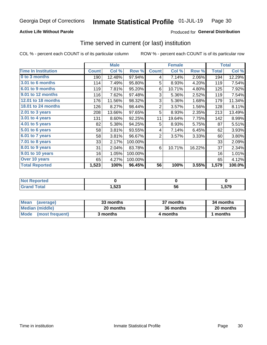### **Active Life Without Parole**

### Produced for General Distribution

# Time served in current (or last) institution

COL % - percent each COUNT is of its particular column

|                            |              | <b>Male</b> |         |                | <b>Female</b> |        |              | <b>Total</b> |
|----------------------------|--------------|-------------|---------|----------------|---------------|--------|--------------|--------------|
| <b>Time In Institution</b> | <b>Count</b> | Col %       | Row %   | <b>Count</b>   | Col %         | Row %  | <b>Total</b> | Col %        |
| 0 to 3 months              | 190          | 12.48%      | 97.94%  | 4              | 7.14%         | 2.06%  | 194          | 12.29%       |
| <b>3.01 to 6 months</b>    | 114          | 7.49%       | 95.80%  | 5              | 8.93%         | 4.20%  | 119          | 7.54%        |
| 6.01 to 9 months           | 119          | 7.81%       | 95.20%  | 6              | 10.71%        | 4.80%  | 125          | 7.92%        |
| 9.01 to 12 months          | 116          | 7.62%       | 97.48%  | 3              | 5.36%         | 2.52%  | 119          | 7.54%        |
| <b>12.01 to 18 months</b>  | 176          | 11.56%      | 98.32%  | 3              | 5.36%         | 1.68%  | 179          | 11.34%       |
| 18.01 to 24 months         | 126          | 8.27%       | 98.44%  | $\overline{2}$ | 3.57%         | 1.56%  | 128          | 8.11%        |
| $2.01$ to 3 years          | 208          | 13.66%      | 97.65%  | 5              | 8.93%         | 2.35%  | 213          | 13.49%       |
| 3.01 to 4 years            | 131          | 8.60%       | 92.25%  | 11             | 19.64%        | 7.75%  | 142          | 8.99%        |
| $4.01$ to 5 years          | 82           | 5.38%       | 94.25%  | 5              | 8.93%         | 5.75%  | 87           | 5.51%        |
| 5.01 to 6 years            | 58           | 3.81%       | 93.55%  | 4              | 7.14%         | 6.45%  | 62           | 3.93%        |
| 6.01 to 7 years            | 58           | 3.81%       | 96.67%  | $\overline{2}$ | 3.57%         | 3.33%  | 60           | 3.80%        |
| $7.01$ to 8 years          | 33           | 2.17%       | 100.00% |                |               |        | 33           | 2.09%        |
| $8.01$ to 9 years          | 31           | 2.04%       | 83.78%  | 6              | 10.71%        | 16.22% | 37           | 2.34%        |
| 9.01 to 10 years           | 16           | 1.05%       | 100.00% |                |               |        | 16           | 1.01%        |
| Over 10 years              | 65           | 4.27%       | 100.00% |                |               |        | 65           | 4.12%        |
| <b>Total Reported</b>      | 1,523        | 100%        | 96.45%  | 56             | 100%          | 3.55%  | 1,579        | 100.0%       |

| <b>Not Reported</b> |       |    |      |
|---------------------|-------|----|------|
| Tota <sup>l</sup>   | 523,، | ບບ | ,579 |

| <b>Mean</b><br>(average) | 33 months | 37 months | 34 months |
|--------------------------|-----------|-----------|-----------|
| Median (middle)          | 20 months | 36 months | 20 months |
| Mode (most frequent)     | 3 months  | 4 months  | 1 months  |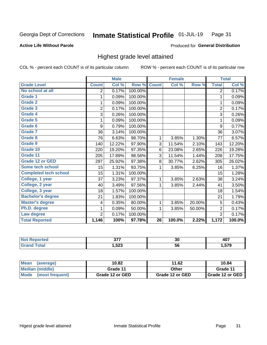#### Inmate Statistical Profile 01-JUL-19 Page 31

#### **Active Life Without Parole**

#### Produced for General Distribution

# Highest grade level attained

COL % - percent each COUNT is of its particular column

|                              |                | <b>Male</b> |         |                 | <b>Female</b> |        |                | <b>Total</b> |
|------------------------------|----------------|-------------|---------|-----------------|---------------|--------|----------------|--------------|
| <b>Grade Level</b>           | <b>Count</b>   | Col %       | Row %   | <b>Count</b>    | Col %         | Row %  | <b>Total</b>   | Col %        |
| No school at all             | 2              | 0.17%       | 100.00% |                 |               |        | $\overline{2}$ | 0.17%        |
| <b>Grade 1</b>               | 1              | 0.09%       | 100.00% |                 |               |        | 1              | 0.09%        |
| <b>Grade 2</b>               | 1              | 0.09%       | 100.00% |                 |               |        | 1              | 0.09%        |
| <b>Grade 3</b>               | $\overline{2}$ | 0.17%       | 100.00% |                 |               |        | $\overline{2}$ | 0.17%        |
| Grade 4                      | 3              | 0.26%       | 100.00% |                 |               |        | 3              | 0.26%        |
| Grade 5                      | 1              | 0.09%       | 100.00% |                 |               |        | 1              | 0.09%        |
| Grade 6                      | 9              | 0.79%       | 100.00% |                 |               |        | 9              | 0.77%        |
| Grade 7                      | 36             | 3.14%       | 100.00% |                 |               |        | 36             | 3.07%        |
| <b>Grade 8</b>               | 76             | 6.63%       | 98.70%  | 1               | 3.85%         | 1.30%  | 77             | 6.57%        |
| Grade 9                      | 140            | 12.22%      | 97.90%  | 3               | 11.54%        | 2.10%  | 143            | 12.20%       |
| Grade 10                     | 220            | 19.20%      | 97.35%  | 6               | 23.08%        | 2.65%  | 226            | 19.28%       |
| Grade 11                     | 205            | 17.89%      | 98.56%  | 3               | 11.54%        | 1.44%  | 208            | 17.75%       |
| <b>Grade 12 or GED</b>       | 297            | 25.92%      | 97.38%  | 8               | 30.77%        | 2.62%  | 305            | 26.02%       |
| Some tech school             | 15             | 1.31%       | 93.75%  | 1               | 3.85%         | 6.25%  | 16             | 1.37%        |
| <b>Completed tech school</b> | 15             | 1.31%       | 100.00% |                 |               |        | 15             | 1.28%        |
| College, 1 year              | 37             | 3.23%       | 97.37%  | 1               | 3.85%         | 2.63%  | 38             | 3.24%        |
| College, 2 year              | 40             | 3.49%       | 97.56%  | 1               | 3.85%         | 2.44%  | 41             | 3.50%        |
| College, 3 year              | 18             | 1.57%       | 100.00% |                 |               |        | 18             | 1.54%        |
| <b>Bachelor's degree</b>     | 21             | 1.83%       | 100.00% |                 |               |        | 21             | 1.79%        |
| <b>Master's degree</b>       | 4              | 0.35%       | 80.00%  | 1               | 3.85%         | 20.00% | 5              | 0.43%        |
| Ph.D. degree                 | 1              | 0.09%       | 50.00%  | 1               | 3.85%         | 50.00% | $\overline{2}$ | 0.17%        |
| Law degree                   | $\overline{2}$ | 0.17%       | 100.00% |                 |               |        | $\overline{2}$ | 0.17%        |
| <b>Total Reported</b>        | 1,146          | 100%        | 97.78%  | $\overline{26}$ | 100.0%        | 2.22%  | 1,172          | 100.0%       |

| NG   | $\sim$ – –    | 30 | "~~<br>4υ    |
|------|---------------|----|--------------|
| υιαι | よつつ<br>د∡כ, ו | วง | 570<br>J I J |

| <b>Mean</b><br>(average) | 10.82           | 11.62           | 10.84           |
|--------------------------|-----------------|-----------------|-----------------|
| <b>Median (middle)</b>   | Grade 11        | Other           | Grade 11        |
| Mode<br>(most frequent)  | Grade 12 or GED | Grade 12 or GED | Grade 12 or GED |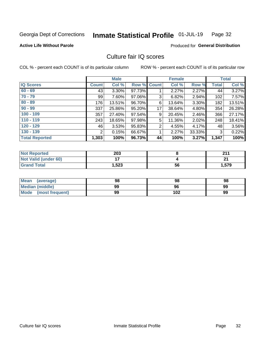#### Inmate Statistical Profile 01-JUL-19 Page 32

### **Active Life Without Parole**

#### Produced for General Distribution

# Culture fair IQ scores

COL % - percent each COUNT is of its particular column

|                       |              | <b>Male</b> |                    |                | <b>Female</b> |          |              | <b>Total</b> |
|-----------------------|--------------|-------------|--------------------|----------------|---------------|----------|--------------|--------------|
| <b>IQ Scores</b>      | <b>Count</b> | Col %       | <b>Row % Count</b> |                | Col %         | Row %    | <b>Total</b> | Col %        |
| $60 - 69$             | 43           | $3.30\%$    | 97.73%             |                | 2.27%         | $2.27\%$ | 44           | 3.27%        |
| $70 - 79$             | 99           | 7.60%       | 97.06%             | 3              | 6.82%         | 2.94%    | 102          | 7.57%        |
| $80 - 89$             | 176          | 13.51%      | 96.70%             | 6              | 13.64%        | $3.30\%$ | 182          | 13.51%       |
| $90 - 99$             | 337          | 25.86%      | 95.20%             | 17             | 38.64%        | 4.80%    | 354          | 26.28%       |
| $100 - 109$           | 357          | 27.40%      | 97.54%             | 9              | 20.45%        | $2.46\%$ | 366          | 27.17%       |
| $110 - 119$           | 243          | 18.65%      | 97.98%             | 5              | 11.36%        | 2.02%    | 248          | 18.41%       |
| $120 - 129$           | 46           | 3.53%       | 95.83%             | $\overline{2}$ | 4.55%         | 4.17%    | 48           | 3.56%        |
| $130 - 139$           | 2            | 0.15%       | 66.67%             | 1              | 2.27%         | 33.33%   | 3            | 0.22%        |
| <b>Total Reported</b> | 1,303        | 100%        | 96.73%             | 44             | 100%          | 3.27%    | 1,347        | 100%         |

| <b>Not Reported</b>  | 203   |    | 944   |
|----------------------|-------|----|-------|
| Not Valid (under 60) |       |    | n.    |
| <b>Grand Total</b>   | 1,523 | 56 | 1,579 |

| <b>Mean</b><br>(average) | 98 | 98  | 98 |
|--------------------------|----|-----|----|
| Median (middle)          | 99 | 96  | 99 |
| Mode (most frequent)     | 99 | 102 | 99 |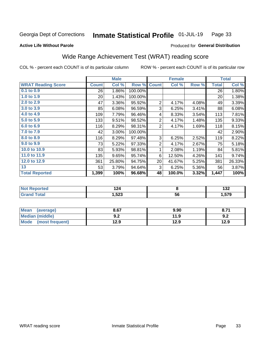#### Inmate Statistical Profile 01-JUL-19 Page 33

Produced for General Distribution

#### **Active Life Without Parole**

# Wide Range Achievement Test (WRAT) reading score

COL % - percent each COUNT is of its particular column

|                           |                 | <b>Male</b> |         |                 | <b>Female</b> |       |              | <b>Total</b> |
|---------------------------|-----------------|-------------|---------|-----------------|---------------|-------|--------------|--------------|
| <b>WRAT Reading Score</b> | <b>Count</b>    | Col %       | Row %   | <b>Count</b>    | Col %         | Row % | <b>Total</b> | Col %        |
| 0.1 to 0.9                | 26              | 1.86%       | 100.00% |                 |               |       | 26           | 1.80%        |
| 1.0 to 1.9                | 20 <sup>2</sup> | 1.43%       | 100.00% |                 |               |       | 20           | 1.38%        |
| 2.0 to 2.9                | 47              | 3.36%       | 95.92%  | $\overline{2}$  | 4.17%         | 4.08% | 49           | 3.39%        |
| 3.0 to 3.9                | 85              | 6.08%       | 96.59%  | 3               | 6.25%         | 3.41% | 88           | 6.08%        |
| 4.0 to 4.9                | 109             | 7.79%       | 96.46%  | 4               | 8.33%         | 3.54% | 113          | 7.81%        |
| 5.0 to 5.9                | 133             | 9.51%       | 98.52%  | $\overline{2}$  | 4.17%         | 1.48% | 135          | 9.33%        |
| 6.0 to 6.9                | 116             | 8.29%       | 98.31%  | $\overline{2}$  | 4.17%         | 1.69% | 118          | 8.15%        |
| 7.0 to 7.9                | 42              | 3.00%       | 100.00% |                 |               |       | 42           | 2.90%        |
| 8.0 to 8.9                | 116             | 8.29%       | 97.48%  | 3               | 6.25%         | 2.52% | 119          | 8.22%        |
| 9.0 to 9.9                | 73              | 5.22%       | 97.33%  | $\overline{c}$  | 4.17%         | 2.67% | 75           | 5.18%        |
| 10.0 to 10.9              | 83              | 5.93%       | 98.81%  | 1               | 2.08%         | 1.19% | 84           | 5.81%        |
| 11.0 to 11.9              | 135             | 9.65%       | 95.74%  | 6               | 12.50%        | 4.26% | 141          | 9.74%        |
| 12.0 to 12.9              | 361             | 25.80%      | 94.75%  | 20 <sup>°</sup> | 41.67%        | 5.25% | 381          | 26.33%       |
| 13                        | 53              | 3.79%       | 94.64%  | 3               | 6.25%         | 5.36% | 56           | 3.87%        |
| <b>Total Reported</b>     | 1,399           | 100%        | 96.68%  | 48              | 100.0%        | 3.32% | 1,447        | 100%         |

| <b>Not Reported</b> | $\sim$<br>I 44 |    | <br>IJZ. |
|---------------------|----------------|----|----------|
| <b>Total</b>        | .,523          | 56 | . 579    |

| <b>Mean</b><br>(average)       | 8.67       | 9.90 | 0.11 |
|--------------------------------|------------|------|------|
| Median (middle)                | י ה<br>9.Z | 11.9 | 9.2  |
| <b>Mode</b><br>(most frequent) | 12.9       | 12.9 | 12.9 |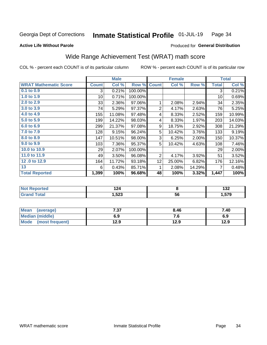#### Inmate Statistical Profile 01-JUL-19 Page 34

#### **Active Life Without Parole**

### Produced for General Distribution

# Wide Range Achievement Test (WRAT) math score

COL % - percent each COUNT is of its particular column

|                              |              | <b>Male</b> |         |                | <b>Female</b> |        |              | <b>Total</b> |
|------------------------------|--------------|-------------|---------|----------------|---------------|--------|--------------|--------------|
| <b>WRAT Mathematic Score</b> | <b>Count</b> | Col %       | Row %   | <b>Count</b>   | Col %         | Row %  | <b>Total</b> | Col %        |
| $0.1$ to $0.9$               | 3            | 0.21%       | 100.00% |                |               |        | 3            | 0.21%        |
| 1.0 to 1.9                   | 10           | 0.71%       | 100.00% |                |               |        | 10           | 0.69%        |
| 2.0 to 2.9                   | 33           | 2.36%       | 97.06%  | 1              | 2.08%         | 2.94%  | 34           | 2.35%        |
| 3.0 to 3.9                   | 74           | 5.29%       | 97.37%  | 2              | 4.17%         | 2.63%  | 76           | 5.25%        |
| 4.0 to 4.9                   | 155          | 11.08%      | 97.48%  | 4              | 8.33%         | 2.52%  | 159          | 10.99%       |
| 5.0 to 5.9                   | 199          | 14.22%      | 98.03%  | 4              | 8.33%         | 1.97%  | 203          | 14.03%       |
| 6.0 to 6.9                   | 299          | 21.37%      | 97.08%  | 9              | 18.75%        | 2.92%  | 308          | 21.29%       |
| 7.0 to 7.9                   | 128          | 9.15%       | 96.24%  | 5              | 10.42%        | 3.76%  | 133          | 9.19%        |
| 8.0 to 8.9                   | 147          | 10.51%      | 98.00%  | 3              | 6.25%         | 2.00%  | 150          | 10.37%       |
| 9.0 to 9.9                   | 103          | 7.36%       | 95.37%  | 5              | 10.42%        | 4.63%  | 108          | 7.46%        |
| 10.0 to 10.9                 | 29           | 2.07%       | 100.00% |                |               |        | 29           | 2.00%        |
| 11.0 to 11.9                 | 49           | 3.50%       | 96.08%  | $\overline{2}$ | 4.17%         | 3.92%  | 51           | 3.52%        |
| 12.0 to 12.9                 | 164          | 11.72%      | 93.18%  | 12             | 25.00%        | 6.82%  | 176          | 12.16%       |
| 13                           | 6            | 0.43%       | 85.71%  | 1              | 2.08%         | 14.29% | 7            | 0.48%        |
| <b>Total Reported</b>        | 1,399        | 100%        | 96.68%  | 48             | 100%          | 3.32%  | 1,447        | 100%         |
|                              |              |             |         |                |               |        |              |              |

| <b>orted</b><br><b>NOT</b><br>avepro | .<br>70<br>. |    | ' ^ '<br>IJL  |
|--------------------------------------|--------------|----|---------------|
|                                      | 1,523        | 56 | 570<br>$\sim$ |

| <b>Mean</b><br>(average)       | 7.27<br>י כ.י | 8.46 | 7.40 |
|--------------------------------|---------------|------|------|
| Median (middle)                | 6.9           | 7. U | 6.9  |
| <b>Mode</b><br>(most frequent) | 12.9          | 12.9 | 12.9 |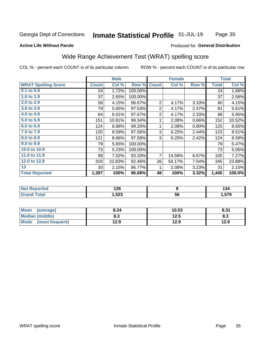#### Inmate Statistical Profile 01-JUL-19 Page 35

#### **Active Life Without Parole**

### Produced for General Distribution

# Wide Range Achievement Test (WRAT) spelling score

COL % - percent each COUNT is of its particular column

|                            |                 | <b>Male</b> |         |                | <b>Female</b> |       |              | <b>Total</b> |
|----------------------------|-----------------|-------------|---------|----------------|---------------|-------|--------------|--------------|
| <b>WRAT Spelling Score</b> | <b>Count</b>    | Col %       | Row %   | <b>Count</b>   | Col %         | Row % | <b>Total</b> | Col %        |
| $0.1$ to $0.9$             | 24              | 1.72%       | 100.00% |                |               |       | 24           | 1.66%        |
| 1.0 to 1.9                 | 37              | 2.65%       | 100.00% |                |               |       | 37           | 2.56%        |
| 2.0 to 2.9                 | 58              | 4.15%       | 96.67%  | $\overline{2}$ | 4.17%         | 3.33% | 60           | 4.15%        |
| 3.0 to 3.9                 | 79              | 5.65%       | 97.53%  | $\overline{2}$ | 4.17%         | 2.47% | 81           | 5.61%        |
| 4.0 to 4.9                 | 84              | 6.01%       | 97.67%  | $\overline{2}$ | 4.17%         | 2.33% | 86           | 5.95%        |
| 5.0 to 5.9                 | 151             | 10.81%      | 99.34%  | 1              | 2.08%         | 0.66% | 152          | 10.52%       |
| 6.0 to 6.9                 | 124             | 8.88%       | 99.20%  | 1              | 2.08%         | 0.80% | 125          | 8.65%        |
| 7.0 to 7.9                 | 120             | 8.59%       | 97.56%  | 3              | 6.25%         | 2.44% | 123          | 8.51%        |
| 8.0 to 8.9                 | 121             | 8.66%       | 97.58%  | 3              | 6.25%         | 2.42% | 124          | 8.58%        |
| 9.0 to 9.9                 | 79              | 5.65%       | 100.00% |                |               |       | 79           | 5.47%        |
| 10.0 to 10.9               | 73              | 5.23%       | 100.00% |                |               |       | 73           | 5.05%        |
| 11.0 to 11.9               | 98              | 7.02%       | 93.33%  | 7              | 14.58%        | 6.67% | 105          | 7.27%        |
| 12.0 to 12.9               | 319             | 22.83%      | 92.46%  | 26             | 54.17%        | 7.54% | 345          | 23.88%       |
| 13                         | 30 <sup>°</sup> | 2.15%       | 96.77%  | 1              | 2.08%         | 3.23% | 31           | 2.15%        |
| <b>Total Reported</b>      | 1,397           | 100%        | 96.68%  | 48             | 100%          | 3.32% | 1,445        | 100.0%       |
|                            |                 |             |         |                |               |       |              |              |
|                            |                 |             |         |                |               |       |              |              |

| тето  | ላ ኅሮ<br>14 <b>0</b> |    | .<br>194<br>$-$ |
|-------|---------------------|----|-----------------|
| _____ | 523,                | 56 | ---             |

| <b>Mean</b><br>(average)       | 8.24 | 10.53 | 8.31 |
|--------------------------------|------|-------|------|
| <b>Median (middle)</b>         | 8.3  | 12.5  | ი.ა  |
| <b>Mode</b><br>(most frequent) | 12.9 | 12.9  | 12.9 |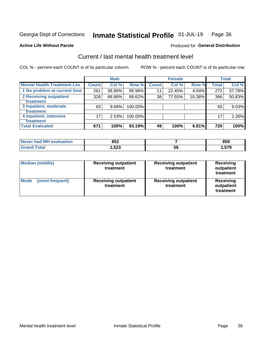#### Inmate Statistical Profile 01-JUL-19 Page 36

#### **Active Life Without Parole**

### **Produced for General Distribution**

# Current / last mental health treatment level

COL % - percent each COUNT is of its particular column

|                                    |                 | <b>Male</b> |         |                    | <b>Female</b> |        |              | <b>Total</b> |
|------------------------------------|-----------------|-------------|---------|--------------------|---------------|--------|--------------|--------------|
| <b>Mental Health Treatment Lev</b> | <b>Count</b>    | Col %       | Row %   | Count <sup>1</sup> | Col%          | Row %  | <b>Total</b> | Col %        |
| 1 No problem at current time       | 261             | 38.90%      | 95.96%  | 11                 | 22.45%        | 4.04%  | 272          | 37.78%       |
| 2 Receiving outpatient             | 328             | 48.88%      | 89.62%  | 38                 | 77.55%        | 10.38% | 366          | 50.83%       |
| <b>Treatment</b>                   |                 |             |         |                    |               |        |              |              |
| 3 Inpatient, moderate              | 65              | 9.69%       | 100.00% |                    |               |        | 65           | 9.03%        |
| <b>Treatment</b>                   |                 |             |         |                    |               |        |              |              |
| 4 Inpatient, intensive             | 17 <sub>1</sub> | 2.53%       | 100.00% |                    |               |        | 17           | 2.36%        |
| Treatment                          |                 |             |         |                    |               |        |              |              |
| <b>Total Evaluated</b>             | 671             | 100%        | 93.19%  | 49                 | 100%          | 6.81%  | 720          | 100%         |

| Never had MH evaluation | 852   |    | OEN<br>໐ວວ |
|-------------------------|-------|----|------------|
|                         | 1,523 | эt | .,579      |

| <b>Median (middle)</b>         | <b>Receiving outpatient</b><br>treatment | <b>Receiving outpatient</b><br>treatment | <b>Receiving</b><br>outpatient<br>treatment |
|--------------------------------|------------------------------------------|------------------------------------------|---------------------------------------------|
| <b>Mode</b><br>(most frequent) | <b>Receiving outpatient</b><br>treatment | <b>Receiving outpatient</b><br>treatment | <b>Receiving</b><br>outpatient<br>treatment |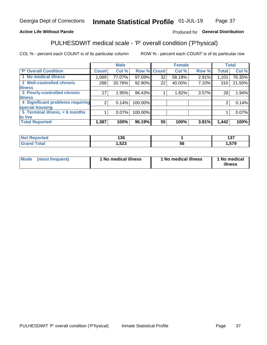#### Inmate Statistical Profile 01-JUL-19 Page 37

### **Active Life Without Parole**

### Produced for General Distribution

# PULHESDWIT medical scale - 'P' overall condition ('P'hysical)

COL % - percent each COUNT is of its particular column

|                                  |                | <b>Male</b> |             |                 | <b>Female</b> |       |              | <b>Total</b> |
|----------------------------------|----------------|-------------|-------------|-----------------|---------------|-------|--------------|--------------|
| 'P' Overall Condition            | Count l        | Col %       | Row % Count |                 | Col %         | Row % | <b>Total</b> | Col %        |
| 1 No medical illness             | 1,069          | 77.07%      | 97.09%      | 32              | 58.18%        | 2.91% | 1,101        | 76.35%       |
| 2 Well-controlled chronic        | 288            | 20.76%      | 92.90%      | 22 <sub>1</sub> | 40.00%        | 7.10% | 310          | 21.50%       |
| <b>illness</b>                   |                |             |             |                 |               |       |              |              |
| 3 Poorly-controlled chronic      | 27             | 1.95%       | 96.43%      |                 | 1.82%         | 3.57% | 28           | 1.94%        |
| <b>illness</b>                   |                |             |             |                 |               |       |              |              |
| 4 Significant problems requiring | 2 <sub>1</sub> | 0.14%       | 100.00%     |                 |               |       | 2            | 0.14%        |
| special housing                  |                |             |             |                 |               |       |              |              |
| 5 Terminal illness, < 6 months   |                | $0.07\%$    | 100.00%     |                 |               |       |              | 0.07%        |
| to live                          |                |             |             |                 |               |       |              |              |
| <b>Total Reported</b>            | 1,387          | 100%        | 96.19%      | 55              | 100%          | 3.81% | 1,442        | 100%         |

| rteo  | 19C    |   | 1 O.T           |
|-------|--------|---|-----------------|
|       | סטו    |   | 1 J I           |
| _____ | 523, ا | უ | <b>670</b><br>. |

|  |  | Mode (most frequent) | 1 No medical illness | 1 No medical illness | 1 No medical<br>illness |
|--|--|----------------------|----------------------|----------------------|-------------------------|
|--|--|----------------------|----------------------|----------------------|-------------------------|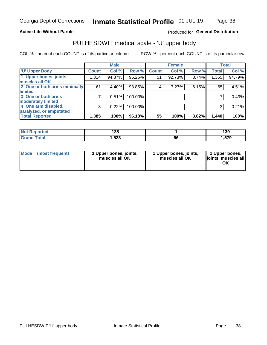### **Active Life Without Parole**

### Produced for General Distribution

# PULHESDWIT medical scale - 'U' upper body

COL % - percent each COUNT is of its particular column

|                              |              | <b>Male</b> |         |              | <b>Female</b> |       |              | <b>Total</b> |
|------------------------------|--------------|-------------|---------|--------------|---------------|-------|--------------|--------------|
| <b>'U' Upper Body</b>        | <b>Count</b> | Col %       | Row %   | <b>Count</b> | Col %         | Row % | <b>Total</b> | Col %        |
| 1 Upper bones, joints,       | 1,314        | 94.87%      | 96.26%  | 51           | 92.73%        | 3.74% | 1,365        | 94.79%       |
| muscles all OK               |              |             |         |              |               |       |              |              |
| 2 One or both arms minimally | 61           | 4.40%       | 93.85%  | 4            | 7.27%         | 6.15% | 65           | 4.51%        |
| limited                      |              |             |         |              |               |       |              |              |
| 3 One or both arms           |              | 0.51%       | 100.00% |              |               |       |              | 0.49%        |
| <b>moderately limited</b>    |              |             |         |              |               |       |              |              |
| 4 One arm disabled,          | 3            | 0.22%       | 100.00% |              |               |       | 3            | 0.21%        |
| paralyzed, or amputated      |              |             |         |              |               |       |              |              |
| <b>Total Reported</b>        | 1,385        | 100%        | 96.18%  | 55           | 100%          | 3.82% | 1,440        | 100%         |

| <b>Not Reported</b> | 138  |    | 120<br>פטו |
|---------------------|------|----|------------|
| <b>Total</b>        | ,523 | ວເ | 579،،      |

| Mode | (most frequent) | 1 Upper bones, joints,<br>muscles all OK | 1 Upper bones, joints,<br>muscles all OK | 1 Upper bones,<br>ljoints, muscles all<br>OK |
|------|-----------------|------------------------------------------|------------------------------------------|----------------------------------------------|
|------|-----------------|------------------------------------------|------------------------------------------|----------------------------------------------|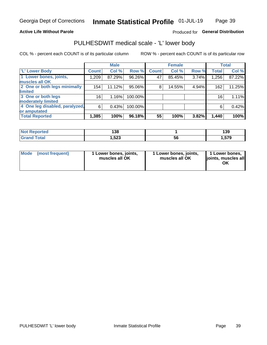### **Active Life Without Parole**

### Produced for General Distribution

# PULHESDWIT medical scale - 'L' lower body

COL % - percent each COUNT is of its particular column

|                                |              | <b>Male</b> |           |              | <b>Female</b> |       |                 | <b>Total</b> |
|--------------------------------|--------------|-------------|-----------|--------------|---------------|-------|-----------------|--------------|
| 'L' Lower Body                 | <b>Count</b> | Col %       | Row %     | <b>Count</b> | Col %         | Row % | <b>Total</b>    | Col %        |
| 1 Lower bones, joints,         | 1,209        | 87.29%      | $96.26\%$ | 47           | 85.45%        | 3.74% | 1,256           | 87.22%       |
| muscles all OK                 |              |             |           |              |               |       |                 |              |
| 2 One or both legs minimally   | 154          | 11.12%      | 95.06%    | 8            | 14.55%        | 4.94% | 162             | 11.25%       |
| limited                        |              |             |           |              |               |       |                 |              |
| 3 One or both legs             | 16           | 1.16%       | 100.00%   |              |               |       | 16 <sub>1</sub> | 1.11%        |
| moderately limited             |              |             |           |              |               |       |                 |              |
| 4 One leg disabled, paralyzed, | 6            | 0.43%       | 100.00%   |              |               |       | 6               | 0.42%        |
| or amputated                   |              |             |           |              |               |       |                 |              |
| <b>Total Reported</b>          | 1,385        | 100%        | 96.18%    | 55           | 100%          | 3.82% | 1,440           | 100%         |

| <b>Not Reported</b> | 138  |    | 120<br>פטו |
|---------------------|------|----|------------|
| <b>Total</b>        | ,523 | ວເ | 579،،      |

| Mode | (most frequent) | 1 Lower bones, joints,<br>muscles all OK | 1 Lower bones, joints,<br>muscles all OK | 1 Lower bones,<br>ljoints, muscles all<br>OK |
|------|-----------------|------------------------------------------|------------------------------------------|----------------------------------------------|
|------|-----------------|------------------------------------------|------------------------------------------|----------------------------------------------|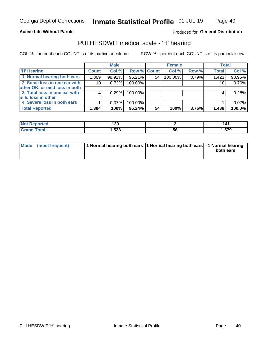### **Active Life Without Parole**

### Produced for General Distribution

# PULHESDWIT medical scale - 'H' hearing

COL % - percent each COUNT is of its particular column

|                                |              | <b>Male</b> |                    |    | <b>Female</b> |       | <b>Total</b> |        |
|--------------------------------|--------------|-------------|--------------------|----|---------------|-------|--------------|--------|
| <b>H' Hearing</b>              | <b>Count</b> | Col %       | <b>Row % Count</b> |    | Col %         | Row % | <b>Total</b> | Col %  |
| 1 Normal hearing both ears     | 1,369        | 98.92%      | 96.21%             | 54 | 100.00%       | 3.79% | 1,423        | 98.96% |
| 2 Some loss in one ear with    | 10           | 0.72%       | 100.00%            |    |               |       | 10           | 0.70%  |
| other OK, or mild loss in both |              |             |                    |    |               |       |              |        |
| 3 Total loss in one ear with   | 4            | 0.29%       | 100.00%            |    |               |       | 4            | 0.28%  |
| mild loss in other             |              |             |                    |    |               |       |              |        |
| 4 Severe loss in both ears     |              | $0.07\%$    | 100.00%            |    |               |       |              | 0.07%  |
| <b>Total Reported</b>          | 1,384        | 100%        | 96.24%             | 54 | 100%          | 3.76% | 1,438        | 100.0% |

| ported     | .            |    | 141          |
|------------|--------------|----|--------------|
| <b>NO1</b> | 139          |    | - - -        |
| $\sim$     | E OO<br>,౦∠ડ | ວບ | 57Q<br>3,313 |

| Mode (most frequent) | 1 Normal hearing both ears 1 Normal hearing both ears 1 Normal hearing | both ears |
|----------------------|------------------------------------------------------------------------|-----------|
|                      |                                                                        |           |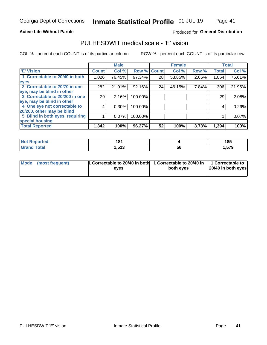### **Active Life Without Parole**

### Produced for General Distribution

# PULHESDWIT medical scale - 'E' vision

COL % - percent each COUNT is of its particular column

|                                 |              | <b>Male</b> |         |              | <b>Female</b> |       |              | <b>Total</b> |
|---------------------------------|--------------|-------------|---------|--------------|---------------|-------|--------------|--------------|
| 'E' Vision                      | <b>Count</b> | Col %       | Row %   | <b>Count</b> | Col %         | Row % | <b>Total</b> | Col %        |
| 1 Correctable to 20/40 in both  | 1,026        | 76.45%      | 97.34%  | 28           | 53.85%        | 2.66% | 1,054        | 75.61%       |
| eyes                            |              |             |         |              |               |       |              |              |
| 2 Correctable to 20/70 in one   | 282          | 21.01%      | 92.16%  | 24           | 46.15%        | 7.84% | 306          | 21.95%       |
| eye, may be blind in other      |              |             |         |              |               |       |              |              |
| 3 Correctable to 20/200 in one  | 29           | 2.16%       | 100.00% |              |               |       | 29           | 2.08%        |
| eye, may be blind in other      |              |             |         |              |               |       |              |              |
| 4 One eye not correctable to    | 4            | $0.30\%$    | 100.00% |              |               |       | 4            | 0.29%        |
| 20/200, other may be blind      |              |             |         |              |               |       |              |              |
| 5 Blind in both eyes, requiring |              | 0.07%       | 100.00% |              |               |       |              | 0.07%        |
| special housing                 |              |             |         |              |               |       |              |              |
| <b>Total Reported</b>           | 1,342        | 100%        | 96.27%  | 52           | 100%          | 3.73% | 1,394        | 100%         |

| <b>Reported</b><br>NOT. | 181   |    | 185  |
|-------------------------|-------|----|------|
| <b>Total</b>            | .,523 | 56 | .579 |

| Mode (most frequent) | 1 Correctable to 20/40 in both<br>eves | 1 Correctable to 20/40 in   1 Correctable to  <br>both eves | 20/40 in both eyes |
|----------------------|----------------------------------------|-------------------------------------------------------------|--------------------|
|                      |                                        |                                                             |                    |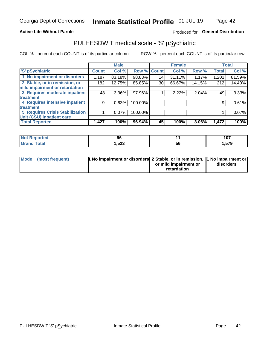### **Active Life Without Parole**

### Produced for General Distribution

# PULHESDWIT medical scale - 'S' pSychiatric

COL % - percent each COUNT is of its particular column

|                                 |              | <b>Male</b> |         |             | <b>Female</b> |        |              | <b>Total</b> |
|---------------------------------|--------------|-------------|---------|-------------|---------------|--------|--------------|--------------|
| 'S' pSychiatric                 | <b>Count</b> | Col %       |         | Row % Count | Col %         | Row %  | <b>Total</b> | Col %        |
| 1 No impairment or disorders    | 1,187        | 83.18%      | 98.83%  | 14          | 31.11%        | 1.17%  | 1,201        | 81.59%       |
| 2 Stable, or in remission, or   | 182          | 12.75%      | 85.85%  | 30          | 66.67%        | 14.15% | 212          | 14.40%       |
| mild impairment or retardation  |              |             |         |             |               |        |              |              |
| 3 Requires moderate inpatient   | 48           | $3.36\%$    | 97.96%  |             | 2.22%         | 2.04%  | 49           | 3.33%        |
| <b>treatment</b>                |              |             |         |             |               |        |              |              |
| 4 Requires intensive inpatient  | 9            | 0.63%       | 100.00% |             |               |        | 9            | 0.61%        |
| <b>treatment</b>                |              |             |         |             |               |        |              |              |
| 5 Requires Crisis Stabilization |              | 0.07%       | 100.00% |             |               |        |              | 0.07%        |
| Unit (CSU) inpatient care       |              |             |         |             |               |        |              |              |
| <b>Total Reported</b>           | 1,427        | 100%        | 96.94%  | 45          | 100%          | 3.06%  | 1,472        | 100%         |

| <b>Not Reported</b> | 96     |    | 107   |
|---------------------|--------|----|-------|
| <b>Grand Total</b>  | 523, ا | วง | 1,579 |

| Mode (most frequent) | <b>1 No impairment or disorders</b> 2 Stable, or in remission, 11 No impairment or |                       |           |
|----------------------|------------------------------------------------------------------------------------|-----------------------|-----------|
|                      |                                                                                    | or mild impairment or | disorders |
|                      |                                                                                    | retardation           |           |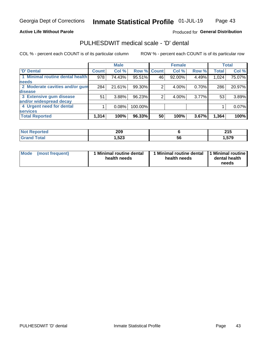#### **Active Life Without Parole**

### Produced for General Distribution

# PULHESDWIT medical scale - 'D' dental

COL % - percent each COUNT is of its particular column

|                                 |              | <b>Male</b> |             |    | <b>Female</b> |          |              | <b>Total</b> |
|---------------------------------|--------------|-------------|-------------|----|---------------|----------|--------------|--------------|
| <b>D'</b> Dental                | <b>Count</b> | Col %       | Row % Count |    | Col %         | Row %    | <b>Total</b> | Col %        |
| 1 Minimal routine dental health | 978          | 74.43%      | 95.51%      | 46 | 92.00%        | 4.49%    | 1,024        | 75.07%       |
| <b>needs</b>                    |              |             |             |    |               |          |              |              |
| 2 Moderate cavities and/or gum  | 284          | 21.61%      | 99.30%      |    | 4.00%         | 0.70%    | 286          | 20.97%       |
| disease                         |              |             |             |    |               |          |              |              |
| 3 Extensive gum disease         | 51           | 3.88%       | 96.23%      |    | 4.00%         | $3.77\%$ | 53           | 3.89%        |
| and/or widespread decay         |              |             |             |    |               |          |              |              |
| 4 Urgent need for dental        |              | 0.08%       | 100.00%     |    |               |          |              | 0.07%        |
| <b>services</b>                 |              |             |             |    |               |          |              |              |
| <b>Total Reported</b>           | 1,314        | 100%        | 96.33%      | 50 | 100%          | 3.67%    | 1,364        | 100%         |

| <b>prted</b><br>NOT F<br>⋯ | 209  |    | 24F<br>4 I J  |
|----------------------------|------|----|---------------|
| <b>Total</b>               | ,523 | 56 | 570<br>1,JI J |

| <b>Mode</b> | (most frequent) | <b>Minimal routine dental</b><br>health needs | 1 Minimal routine dental<br>health needs | <b>11 Minimal routine I</b><br>dental health<br>needs |
|-------------|-----------------|-----------------------------------------------|------------------------------------------|-------------------------------------------------------|
|-------------|-----------------|-----------------------------------------------|------------------------------------------|-------------------------------------------------------|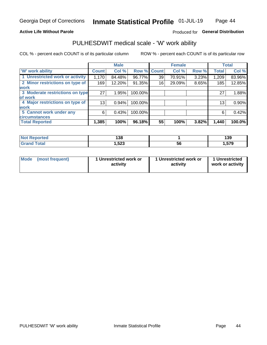### **Active Life Without Parole**

### Produced for General Distribution

# PULHESDWIT medical scale - 'W' work ability

COL % - percent each COUNT is of its particular column

|                                 |                    | <b>Male</b> |         |             | <b>Female</b> |       |              | <b>Total</b> |
|---------------------------------|--------------------|-------------|---------|-------------|---------------|-------|--------------|--------------|
| <b>W' work ability</b>          | Count <sup>'</sup> | Col %       |         | Row % Count | Col %         | Row % | <b>Total</b> | Col %        |
| 1 Unrestricted work or activity | 1,170              | 84.48%      | 96.77%  | 39          | 70.91%        | 3.23% | 1,209        | 83.96%       |
| 2 Minor restrictions on type of | 169                | 12.20%      | 91.35%  | 16          | 29.09%        | 8.65% | 185          | 12.85%       |
| <b>work</b>                     |                    |             |         |             |               |       |              |              |
| 3 Moderate restrictions on type | 27                 | 1.95%       | 100.00% |             |               |       | 27           | 1.88%        |
| lof work                        |                    |             |         |             |               |       |              |              |
| 4 Major restrictions on type of | 13                 | 0.94%       | 100.00% |             |               |       | 13           | 0.90%        |
| <b>work</b>                     |                    |             |         |             |               |       |              |              |
| 5 Cannot work under any         | 6                  | 0.43%       | 100.00% |             |               |       | 6            | 0.42%        |
| <b>circumstances</b>            |                    |             |         |             |               |       |              |              |
| <b>Total Reported</b>           | 1,385              | 100%        | 96.18%  | 55          | 100%          | 3.82% | 1,440        | 100.0%       |

| <b>Not Reported</b>          | 138   |    | 139   |
|------------------------------|-------|----|-------|
| <b>Total</b><br><b>C</b> ron | 1,523 | ან | .,579 |

| Mode            | 1 Unrestricted work or | 1 Unrestricted work or | 1 Unrestricted   |
|-----------------|------------------------|------------------------|------------------|
| (most frequent) | activity               | activity               | work or activity |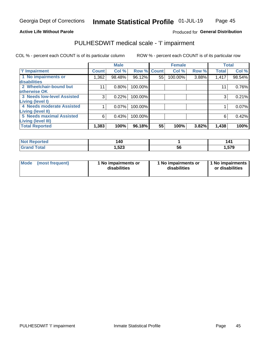### **Active Life Without Parole**

### Produced for General Distribution

# PULHESDWIT medical scale - 'I' impairment

COL % - percent each COUNT is of its particular column ROW % - percent each COUNT is of its particular row

|                                                              |              | <b>Male</b> |             |    | <b>Female</b> |       |              | <b>Total</b> |
|--------------------------------------------------------------|--------------|-------------|-------------|----|---------------|-------|--------------|--------------|
| <b>T' Impairment</b>                                         | <b>Count</b> | Col %       | Row % Count |    | Col %         | Row % | <b>Total</b> | Col %        |
| 1 No impairments or<br>disabilities                          | ,362         | 98.48%      | 96.12%      | 55 | 100.00%       | 3.88% | 1,417        | 98.54%       |
| 2 Wheelchair-bound but                                       | 11           | 0.80%       | 100.00%     |    |               |       | 11           | 0.76%        |
| otherwise OK<br><b>3 Needs low-level Assisted</b>            | 3            | 0.22%       | 100.00%     |    |               |       | 3            | 0.21%        |
| Living (level I)<br>4 Needs moderate Assisted                |              | 0.07%       | 100.00%     |    |               |       |              | 0.07%        |
| Living (level II)                                            |              |             |             |    |               |       |              |              |
| <b>5 Needs maximal Assisted</b><br><b>Living (level III)</b> | 6            | 0.43%       | 100.00%     |    |               |       | 6            | 0.42%        |
| <b>Total Reported</b>                                        | 1,383        | 100%        | 96.18%      | 55 | 100%          | 3.82% | 1,438        | 100%         |

| วrted | 140  |          | 141   |
|-------|------|----------|-------|
|       | ,523 | ۰.<br>56 | 1,579 |

| Mode | (most frequent) | 1 No impairments or<br>disabilities | 1 No impairments or<br>disabilities | 1 No impairments<br>or disabilities |
|------|-----------------|-------------------------------------|-------------------------------------|-------------------------------------|
|------|-----------------|-------------------------------------|-------------------------------------|-------------------------------------|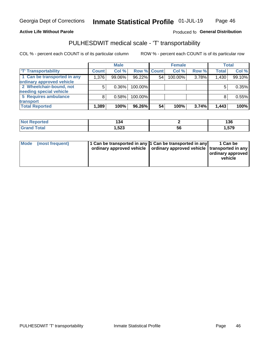### **Active Life Without Parole**

### Produced fo General Distribution

# PULHESDWIT medical scale - 'T' transportability

COL % - percent each COUNT is of its particular column

|                             |              | <b>Male</b> |             |    | <b>Female</b> |       |              | <b>Total</b> |
|-----------------------------|--------------|-------------|-------------|----|---------------|-------|--------------|--------------|
| <b>T' Transportability</b>  | <b>Count</b> | Col %       | Row % Count |    | Col %         | Row % | <b>Total</b> | Col %        |
| 1 Can be transported in any | 1,376        | 99.06%      | 96.22%      | 54 | 100.00%       | 3.78% | 1,430        | 99.10%       |
| ordinary approved vehicle   |              |             |             |    |               |       |              |              |
| 2 Wheelchair-bound, not     |              | $0.36\%$    | 100.00%     |    |               |       |              | 0.35%        |
| needing special vehicle     |              |             |             |    |               |       |              |              |
| 5 Requires ambulance        |              | 0.58%       | 100.00%     |    |               |       |              | 0.55%        |
| transport                   |              |             |             |    |               |       |              |              |
| <b>Total Reported</b>       | 1,389        | 100%        | 96.26%      | 54 | 100%          | 3.74% | 1,443        | 100%         |

| eported | .<br>◡ |    | 136   |
|---------|--------|----|-------|
|         | .523   | ჂႩ | 1,579 |

| Mode (most frequent) | 1 Can be transported in any 1 Can be transported in any | ordinary approved vehicle   ordinary approved vehicle   transported in any | 1 Can be<br>ordinary approved<br>vehicle |
|----------------------|---------------------------------------------------------|----------------------------------------------------------------------------|------------------------------------------|
|                      |                                                         |                                                                            |                                          |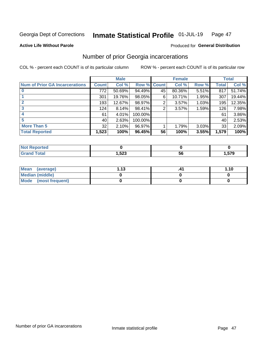#### Inmate Statistical Profile 01-JUL-19 Page 47

**Active Life Without Parole** 

### Produced for General Distribution

# Number of prior Georgia incarcerations

COL % - percent each COUNT is of its particular column

|                                       |              | <b>Male</b> |                    |    | <b>Female</b> |       |       | <b>Total</b> |
|---------------------------------------|--------------|-------------|--------------------|----|---------------|-------|-------|--------------|
| <b>Num of Prior GA Incarcerations</b> | <b>Count</b> | Col %       | <b>Row % Count</b> |    | Col %         | Row % | Total | Col %        |
|                                       | 772          | 50.69%      | 94.49%             | 45 | 80.36%        | 5.51% | 817   | 51.74%       |
|                                       | 301          | 19.76%      | 98.05%             | 6  | 10.71%        | 1.95% | 307   | 19.44%       |
|                                       | 193          | 12.67%      | 98.97%             | 2  | 3.57%         | 1.03% | 195   | 12.35%       |
| 3                                     | 124          | 8.14%       | 98.41%             | 2  | 3.57%         | 1.59% | 126   | 7.98%        |
| 4                                     | 61           | 4.01%       | 100.00%            |    |               |       | 61    | 3.86%        |
| 5                                     | 40           | 2.63%       | 100.00%            |    |               |       | 40    | 2.53%        |
| <b>More Than 5</b>                    | 32           | 2.10%       | 96.97%             |    | 1.79%         | 3.03% | 33    | 2.09%        |
| <b>Total Reported</b>                 | 1,523        | 100%        | 96.45%             | 56 | 100%          | 3.55% | 1,579 | 100%         |

| orted<br><b>NI</b>               |               |           |                     |
|----------------------------------|---------------|-----------|---------------------|
| <b>Total</b><br>$\mathbf{v}$ and | E00<br>323، ، | יי<br>IJL | E70<br>, u<br>- 315 |

| Mean (average)       | 1 1 2 | 1.10 |
|----------------------|-------|------|
| Median (middle)      |       |      |
| Mode (most frequent) |       |      |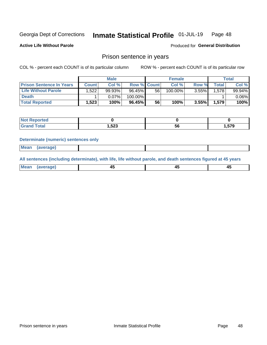#### Inmate Statistical Profile 01-JUL-19 Page 48

**Active Life Without Parole** 

Produced for General Distribution

### Prison sentence in years

COL % - percent each COUNT is of its particular column

ROW % - percent each COUNT is of its particular row

|                                 |              | <b>Male</b> |                    |    | <b>Female</b> |       |              | Total     |
|---------------------------------|--------------|-------------|--------------------|----|---------------|-------|--------------|-----------|
| <b>Prison Sentence In Years</b> | <b>Count</b> | Col %       | <b>Row % Count</b> |    | Col %         | Row % | <b>Total</b> | Col %     |
| <b>Life Without Parole</b>      | .522         | 99.93%      | $96.45\%$          | 56 | 100.00%       | 3.55% | 1.578        | $99.94\%$ |
| <b>Death</b>                    |              | 0.07%       | 100.00%            |    |               |       |              | $0.06\%$  |
| <b>Total Reported</b>           | 1.523        | 100%        | $96.45\%$          | 56 | 100%          | 3.55% | 1.579        | 100%      |

| ported      |       |    |        |
|-------------|-------|----|--------|
| <b>otal</b> | 1,523 | วง | 579. ا |

#### **Determinate (numeric) sentences only**

| ' Mea<br><b>Service</b> A<br>ЯМА. |  |  |  |
|-----------------------------------|--|--|--|
|                                   |  |  |  |

All sentences (including determinate), with life, life without parole, and death sentences figured at 45 years

| Me: |  |  |  |
|-----|--|--|--|
|     |  |  |  |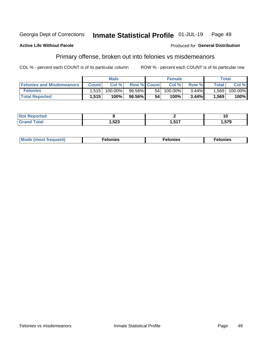#### Georgia Dept of Corrections Inmate Statistical Profile 01-JUL-19 Page 49

#### **Active Life Without Parole**

#### Produced for General Distribution

# Primary offense, broken out into felonies vs misdemeanors

COL % - percent each COUNT is of its particular column

|                                  |              | <b>Male</b> |                    |      | <b>Female</b> |       |              | Total   |
|----------------------------------|--------------|-------------|--------------------|------|---------------|-------|--------------|---------|
| <b>Felonies and Misdemeanors</b> | <b>Count</b> | Col%        | <b>Row % Count</b> |      | Col%          | Row % | <b>Total</b> | Col %   |
| <b>Felonies</b>                  | 1.515        | 100.00%     | 96.56%             | 54 I | $100.00\%$    | 3.44% | 1,569        | 100.00% |
| <b>Total Reported</b>            | .515         | 100%        | 96.56%             | 54   | 100%          | 3.44% | 1,569        | 100%    |

| <b>Not</b><br>Reported |        |            | 10     |
|------------------------|--------|------------|--------|
| <b>Total</b>           | 523, ا | <b>E47</b> | 570    |
| <b>Gran</b>            |        | - 1        | כ וט.ו |

| <b>Mode</b><br>frequent)<br>nies<br>≧ (most tr.<br>. | onies<br>. | lonies<br>енл<br>____ |
|------------------------------------------------------|------------|-----------------------|
|------------------------------------------------------|------------|-----------------------|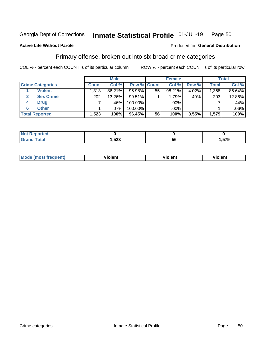#### Inmate Statistical Profile 01-JUL-19 Page 50

### **Active Life Without Parole**

### Produced for General Distribution

# Primary offense, broken out into six broad crime categories

COL % - percent each COUNT is of its particular column

|                         |              | <b>Male</b> |         |             | <b>Female</b> |       |              | <b>Total</b> |
|-------------------------|--------------|-------------|---------|-------------|---------------|-------|--------------|--------------|
| <b>Crime Categories</b> | <b>Count</b> | Col %       |         | Row % Count | Col %         | Row % | <b>Total</b> | Col %        |
| <b>Violent</b>          | 1,313        | 86.21%      | 95.98%  | 55          | 98.21%        | 4.02% | 1,368        | 86.64%       |
| <b>Sex Crime</b>        | 202          | 13.26%      | 99.51%  |             | 1.79%         | .49%  | 203          | 12.86%       |
| <b>Drug</b><br>4        |              | .46%        | 100.00% |             | .00%          |       |              | .44%         |
| <b>Other</b><br>6       |              | .07%        | 100.00% |             | .00%          |       |              | $.06\%$      |
| <b>Total Reported</b>   | 1,523        | 100%        | 96.45%  | 56          | 100%          | 3.55% | 1,579        | 100%         |

| <b>Not Reported</b> |             |     |        |
|---------------------|-------------|-----|--------|
| $T0+0'$             | E00<br>53ZJ | ้วด | 579. ا |

| <b>Mode (most frequent)</b> | <br>'iolent | Violent | --<br><b>Violent</b> |
|-----------------------------|-------------|---------|----------------------|
|                             |             |         |                      |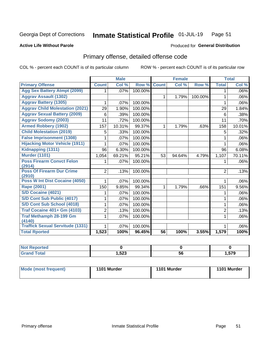#### Inmate Statistical Profile 01-JUL-19 Page 51

### **Active Life Without Parole**

### **Produced for General Distribution**

# Primary offense, detailed offense code

COL % - percent each COUNT is of its particular column

|                                            |                | <b>Male</b> |         |                 | <b>Female</b> |         | <b>Total</b>   |         |
|--------------------------------------------|----------------|-------------|---------|-----------------|---------------|---------|----------------|---------|
| <b>Primary Offense</b>                     | <b>Count</b>   | Col %       | Row %   | <b>Count</b>    | Col %         | Row %   | <b>Total</b>   | Col %   |
| <b>Agg Sex Battery Atmpt (2099)</b>        | 1.             | .07%        | 100.00% |                 |               |         | 1              | .06%    |
| <b>Aggrav Assault (1302)</b>               |                |             |         | $\mathbf{1}$    | 1.79%         | 100.00% | $\mathbf{1}$   | .06%    |
| <b>Aggrav Battery (1305)</b>               | 1              | .07%        | 100.00% |                 |               |         | 1              | .06%    |
| <b>Aggrav Child Molestation (2021)</b>     | 29             | 1.90%       | 100.00% |                 |               |         | 29             | 1.84%   |
| <b>Aggrav Sexual Battery (2009)</b>        | 6              | .39%        | 100.00% |                 |               |         | 6              | .38%    |
| <b>Aggrav Sodomy (2003)</b>                | 11             | .72%        | 100.00% |                 |               |         | 11             | .70%    |
| <b>Armed Robbery (1902)</b>                | 157            | 10.31%      | 99.37%  | $\mathbf{1}$    | 1.79%         | .63%    | 158            | 10.01%  |
| <b>Child Molestation (2019)</b>            | 5              | .33%        | 100.00% |                 |               |         | 5              | .32%    |
| <b>False Imprisonment (1308)</b>           |                | .07%        | 100.00% |                 |               |         |                | $.06\%$ |
| <b>Hijacking Motor Vehicle (1911)</b>      | 1              | .07%        | 100.00% |                 |               |         | 1              | .06%    |
| Kidnapping (1311)                          | 96             | 6.30%       | 100.00% |                 |               |         | 96             | 6.08%   |
| <b>Murder (1101)</b>                       | 1,054          | 69.21%      | 95.21%  | 53              | 94.64%        | 4.79%   | 1,107          | 70.11%  |
| <b>Poss Firearm Convct Felon</b>           | 1              | $.07\%$     | 100.00% |                 |               |         |                | $.06\%$ |
| (2914)                                     |                |             |         |                 |               |         |                |         |
| <b>Poss Of Firearm Dur Crime</b><br>(2910) | $\overline{2}$ | .13%        | 100.00% |                 |               |         | $\overline{2}$ | .13%    |
| Poss W Int Dist Cocaine (4050)             |                | .07%        | 100.00% |                 |               |         |                | $.06\%$ |
| Rape (2001)                                | 150            | 9.85%       | 99.34%  | 1               | 1.79%         | .66%    | 151            | 9.56%   |
| S/D Cocaine (4021)                         | 1              | .07%        | 100.00% |                 |               |         | 1              | $.06\%$ |
| S/D Cont Sub Public (4017)                 | 1              | .07%        | 100.00% |                 |               |         | 1              | $.06\%$ |
| S/D Cont Sub School (4018)                 | 1              | .07%        | 100.00% |                 |               |         | 1              | $.06\%$ |
| <b>Traf Cocaine 401+ Gm (4103)</b>         | 2              | .13%        | 100.00% |                 |               |         | $\overline{2}$ | .13%    |
| <b>Traf Methamph 28-199 Gm</b>             | 1              | .07%        | 100.00% |                 |               |         | 1              | .06%    |
| (4140)                                     |                |             |         |                 |               |         |                |         |
| <b>Traffick Sexual Servitude (1331)</b>    | 1              | .07%        | 100.00% |                 |               |         |                | $.06\%$ |
| <b>Total Rported</b>                       | 1,523          | 100%        | 96.45%  | $\overline{56}$ | 100%          | 3.55%   | 1,579          | 100%    |

| <b>NOT</b><br>oortea |        |    |              |
|----------------------|--------|----|--------------|
| υιαι                 | 523, ا | эt | ---<br>I.579 |

| <b>Mode (most frequent)</b> | 1101 Murder | 1101 Murder | 1101 Murder |
|-----------------------------|-------------|-------------|-------------|
|                             |             |             |             |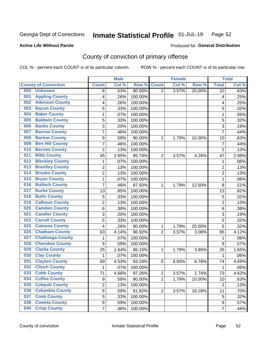#### Inmate Statistical Profile 01-JUL-19 Page 52

### **Active Life Without Parole**

### Produced for General Distribution

# County of conviction of primary offense

COL % - percent each COUNT is of its particular column

|                                |                         | <b>Male</b> |         |                | <b>Female</b> |        |                | <b>Total</b> |
|--------------------------------|-------------------------|-------------|---------|----------------|---------------|--------|----------------|--------------|
| <b>County of Conviction</b>    | <b>Count</b>            | Col%        | Row %   | <b>Count</b>   | Col %         | Row %  | <b>Total</b>   | Col %        |
| 000<br><b>Unknown</b>          | 8                       | .53%        | 80.00%  | $\overline{2}$ | 3.57%         | 20.00% | 10             | .63%         |
| <b>Appling County</b><br>001   | 4                       | .26%        | 100.00% |                |               |        | 4              | .25%         |
| <b>Atkinson County</b><br>002  | 4                       | .26%        | 100.00% |                |               |        | 4              | .25%         |
| <b>Bacon County</b><br>003     | 5                       | .33%        | 100.00% |                |               |        | 5              | .32%         |
| <b>Baker County</b><br>004     | 1                       | .07%        | 100.00% |                |               |        | $\mathbf{1}$   | .06%         |
| <b>Baldwin County</b><br>005   | 5                       | .33%        | 100.00% |                |               |        | 5              | .32%         |
| <b>Banks County</b><br>006     | 3                       | .20%        | 100.00% |                |               |        | $\overline{3}$ | .19%         |
| <b>Barrow County</b><br>007    | 7                       | .46%        | 100.00% |                |               |        | $\overline{7}$ | .44%         |
| <b>Bartow County</b><br>008    | 9                       | .59%        | 90.00%  | 1              | 1.79%         | 10.00% | 10             | .63%         |
| <b>Ben Hill County</b><br>009  | 7                       | .46%        | 100.00% |                |               |        | $\overline{7}$ | .44%         |
| <b>Berrien County</b><br>010   | $\overline{c}$          | .13%        | 100.00% |                |               |        | $\overline{2}$ | .13%         |
| <b>Bibb County</b><br>011      | 45                      | 2.95%       | 95.74%  | $\overline{2}$ | 3.57%         | 4.26%  | 47             | 2.98%        |
| <b>Bleckley County</b><br>012  | 1                       | .07%        | 100.00% |                |               |        | $\mathbf{1}$   | .06%         |
| <b>Brantley County</b><br>013  | $\overline{\mathbf{c}}$ | .13%        | 100.00% |                |               |        | $\overline{2}$ | .13%         |
| <b>Brooks County</b><br>014    | $\overline{c}$          | .13%        | 100.00% |                |               |        | $\overline{2}$ | .13%         |
| <b>Bryan County</b><br>015     | 1                       | .07%        | 100.00% |                |               |        | $\mathbf{1}$   | .06%         |
| <b>Bulloch County</b><br>016   | 7                       | .46%        | 87.50%  | 1              | 1.79%         | 12.50% | $\,8\,$        | .51%         |
| <b>Burke County</b><br>017     | 13                      | .85%        | 100.00% |                |               |        | 13             | .82%         |
| <b>Butts County</b><br>018     | 5                       | .33%        | 100.00% |                |               |        | 5              | .32%         |
| <b>Calhoun County</b><br>019   | $\overline{2}$          | .13%        | 100.00% |                |               |        | $\overline{2}$ | .13%         |
| <b>Camden County</b><br>020    | 6                       | .39%        | 100.00% |                |               |        | $\,6\,$        | .38%         |
| <b>Candler County</b><br>021   | 3                       | .20%        | 100.00% |                |               |        | 3              | .19%         |
| <b>Carroll County</b><br>022   | 5                       | .33%        | 100.00% |                |               |        | 5              | .32%         |
| <b>Catoosa County</b><br>023   | 4                       | .26%        | 80.00%  | 1              | 1.79%         | 20.00% | 5              | .32%         |
| <b>Chatham County</b><br>025   | 63                      | 4.14%       | 96.92%  | $\overline{2}$ | 3.57%         | 3.08%  | 65             | 4.12%        |
| <b>Chattooga County</b><br>027 | 1                       | .07%        | 100.00% |                |               |        | 1              | .06%         |
| <b>Cherokee County</b><br>028  | $\boldsymbol{9}$        | .59%        | 100.00% |                |               |        | 9              | .57%         |
| <b>Clarke County</b><br>029    | 25                      | 1.64%       | 96.15%  | 1              | 1.79%         | 3.85%  | 26             | 1.65%        |
| <b>Clay County</b><br>030      | $\mathbf{1}$            | .07%        | 100.00% |                |               |        | $\mathbf{1}$   | .06%         |
| <b>Clayton County</b><br>031   | 69                      | 4.53%       | 93.24%  | 5              | 8.93%         | 6.76%  | 74             | 4.69%        |
| <b>Clinch County</b><br>032    | 1                       | .07%        | 100.00% |                |               |        | 1              | .06%         |
| 033<br><b>Cobb County</b>      | 71                      | 4.66%       | 97.26%  | 2              | 3.57%         | 2.74%  | 73             | 4.62%        |
| <b>Coffee County</b><br>034    | $\boldsymbol{9}$        | .59%        | 90.00%  | 1              | 1.79%         | 10.00% | 10             | .63%         |
| <b>Colquitt County</b><br>035  | $\overline{2}$          | .13%        | 100.00% |                |               |        | $\overline{2}$ | .13%         |
| <b>Columbia County</b><br>036  | $\boldsymbol{9}$        | .59%        | 81.82%  | $\overline{2}$ | 3.57%         | 18.18% | 11             | .70%         |
| <b>Cook County</b><br>037      | 5                       | .33%        | 100.00% |                |               |        | 5              | .32%         |
| <b>Coweta County</b><br>038    | $\boldsymbol{9}$        | .59%        | 100.00% |                |               |        | 9              | .57%         |
| <b>Crisp County</b><br>040     | 7                       | .46%        | 100.00% |                |               |        | $\overline{7}$ | .44%         |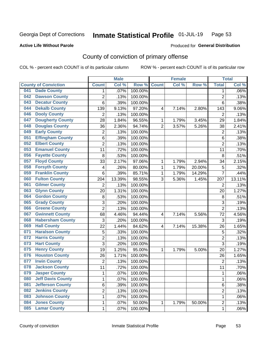#### Inmate Statistical Profile 01-JUL-19 Page 53

### **Active Life Without Parole**

#### Produced for General Distribution

# County of conviction of primary offense

COL % - percent each COUNT is of its particular column

|     |                             |                | <b>Male</b> |         |                | <b>Female</b> |        |                | <b>Total</b> |
|-----|-----------------------------|----------------|-------------|---------|----------------|---------------|--------|----------------|--------------|
|     | <b>County of Conviction</b> | <b>Count</b>   | Col %       | Row %   | <b>Count</b>   | Col %         | Row %  | <b>Total</b>   | Col %        |
| 041 | <b>Dade County</b>          | 1              | .07%        | 100.00% |                |               |        | $\mathbf 1$    | $.06\%$      |
| 042 | <b>Dawson County</b>        | $\overline{2}$ | .13%        | 100.00% |                |               |        | $\overline{2}$ | .13%         |
| 043 | <b>Decatur County</b>       | $\overline{6}$ | .39%        | 100.00% |                |               |        | 6              | .38%         |
| 044 | <b>Dekalb County</b>        | 139            | 9.13%       | 97.20%  | 4              | 7.14%         | 2.80%  | 143            | 9.06%        |
| 046 | <b>Dooly County</b>         | $\overline{2}$ | .13%        | 100.00% |                |               |        | $\overline{2}$ | .13%         |
| 047 | <b>Dougherty County</b>     | 28             | 1.84%       | 96.55%  | 1              | 1.79%         | 3.45%  | 29             | 1.84%        |
| 048 | <b>Douglas County</b>       | 36             | 2.36%       | 94.74%  | $\overline{2}$ | 3.57%         | 5.26%  | 38             | 2.41%        |
| 049 | <b>Early County</b>         | $\overline{2}$ | .13%        | 100.00% |                |               |        | $\overline{2}$ | .13%         |
| 051 | <b>Effingham County</b>     | 6              | .39%        | 100.00% |                |               |        | 6              | .38%         |
| 052 | <b>Elbert County</b>        | $\overline{2}$ | .13%        | 100.00% |                |               |        | $\overline{2}$ | .13%         |
| 053 | <b>Emanuel County</b>       | 11             | .72%        | 100.00% |                |               |        | 11             | .70%         |
| 056 | <b>Fayette County</b>       | 8              | .53%        | 100.00% |                |               |        | 8              | .51%         |
| 057 | <b>Floyd County</b>         | 33             | 2.17%       | 97.06%  | 1              | 1.79%         | 2.94%  | 34             | 2.15%        |
| 058 | <b>Forsyth County</b>       | 4              | .26%        | 80.00%  | $\mathbf{1}$   | 1.79%         | 20.00% | 5              | .32%         |
| 059 | <b>Franklin County</b>      | 6              | .39%        | 85.71%  | 1              | 1.79%         | 14.29% | $\overline{7}$ | .44%         |
| 060 | <b>Fulton County</b>        | 204            | 13.39%      | 98.55%  | 3              | 5.36%         | 1.45%  | 207            | 13.11%       |
| 061 | <b>Gilmer County</b>        | 2              | .13%        | 100.00% |                |               |        | $\overline{2}$ | .13%         |
| 063 | <b>Glynn County</b>         | 20             | 1.31%       | 100.00% |                |               |        | 20             | 1.27%        |
| 064 | <b>Gordon County</b>        | 8              | .53%        | 100.00% |                |               |        | 8              | .51%         |
| 065 | <b>Grady County</b>         | 3              | .20%        | 100.00% |                |               |        | 3              | .19%         |
| 066 | <b>Greene County</b>        | $\overline{2}$ | .13%        | 100.00% |                |               |        | $\overline{2}$ | .13%         |
| 067 | <b>Gwinnett County</b>      | 68             | 4.46%       | 94.44%  | 4              | 7.14%         | 5.56%  | 72             | 4.56%        |
| 068 | <b>Habersham County</b>     | 3              | .20%        | 100.00% |                |               |        | 3              | .19%         |
| 069 | <b>Hall County</b>          | 22             | 1.44%       | 84.62%  | 4              | 7.14%         | 15.38% | 26             | 1.65%        |
| 071 | <b>Haralson County</b>      | 5              | .33%        | 100.00% |                |               |        | 5              | .32%         |
| 072 | <b>Harris County</b>        | $\overline{2}$ | .13%        | 100.00% |                |               |        | $\overline{2}$ | .13%         |
| 073 | <b>Hart County</b>          | $\overline{3}$ | .20%        | 100.00% |                |               |        | 3              | .19%         |
| 075 | <b>Henry County</b>         | 19             | 1.25%       | 95.00%  | 1              | 1.79%         | 5.00%  | 20             | 1.27%        |
| 076 | <b>Houston County</b>       | 26             | 1.71%       | 100.00% |                |               |        | 26             | 1.65%        |
| 077 | <b>Irwin County</b>         | $\overline{2}$ | .13%        | 100.00% |                |               |        | $\overline{2}$ | .13%         |
| 078 | <b>Jackson County</b>       | 11             | .72%        | 100.00% |                |               |        | 11             | .70%         |
| 079 | <b>Jasper County</b>        | 1              | .07%        | 100.00% |                |               |        | $\mathbf 1$    | .06%         |
| 080 | <b>Jeff Davis County</b>    | 1              | .07%        | 100.00% |                |               |        | $\mathbf{1}$   | .06%         |
| 081 | <b>Jefferson County</b>     | 6              | .39%        | 100.00% |                |               |        | 6              | .38%         |
| 082 | <b>Jenkins County</b>       | $\overline{2}$ | .13%        | 100.00% |                |               |        | $\overline{c}$ | .13%         |
| 083 | <b>Johnson County</b>       | 1              | .07%        | 100.00% |                |               |        | 1              | .06%         |
| 084 | <b>Jones County</b>         | 1              | .07%        | 50.00%  | 1              | 1.79%         | 50.00% | $\overline{2}$ | .13%         |
| 085 | <b>Lamar County</b>         | 1              | .07%        | 100.00% |                |               |        | 1              | .06%         |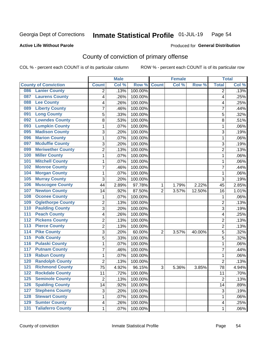#### Inmate Statistical Profile 01-JUL-19 Page 54

**Produced for General Distribution** 

### **Active Life Without Parole**

# County of conviction of primary offense

COL % - percent each COUNT is of its particular column

|                  |                             |                 | <b>Male</b> |         |                | <b>Female</b> |        | <b>Total</b>   |       |
|------------------|-----------------------------|-----------------|-------------|---------|----------------|---------------|--------|----------------|-------|
|                  | <b>County of Conviction</b> | <b>Count</b>    | Col %       | Row %   | <b>Count</b>   | Col %         | Row %  | <b>Total</b>   | Col % |
| 086              | <b>Lanier County</b>        | 2               | .13%        | 100.00% |                |               |        | 2              | .13%  |
| 087              | <b>Laurens County</b>       | 4               | .26%        | 100.00% |                |               |        | 4              | .25%  |
| 088              | <b>Lee County</b>           | 4               | .26%        | 100.00% |                |               |        | 4              | .25%  |
| 089              | <b>Liberty County</b>       | 7               | .46%        | 100.00% |                |               |        | 7              | .44%  |
| 091              | <b>Long County</b>          | 5               | .33%        | 100.00% |                |               |        | 5              | .32%  |
| 092              | <b>Lowndes County</b>       | 8               | .53%        | 100.00% |                |               |        | 8              | .51%  |
| 093              | <b>Lumpkin County</b>       | 1               | .07%        | 100.00% |                |               |        | 1              | .06%  |
| 095              | <b>Madison County</b>       | 3               | .20%        | 100.00% |                |               |        | 3              | .19%  |
| 096              | <b>Marion County</b>        | 1               | .07%        | 100.00% |                |               |        | 1              | .06%  |
| 097              | <b>Mcduffie County</b>      | 3               | .20%        | 100.00% |                |               |        | 3              | .19%  |
| 099              | <b>Meriwether County</b>    | $\overline{2}$  | .13%        | 100.00% |                |               |        | $\overline{2}$ | .13%  |
| 100              | <b>Miller County</b>        | 1               | .07%        | 100.00% |                |               |        | 1              | .06%  |
| 101              | <b>Mitchell County</b>      | 1               | .07%        | 100.00% |                |               |        | 1              | .06%  |
| 102              | <b>Monroe County</b>        | 7               | .46%        | 100.00% |                |               |        | $\overline{7}$ | .44%  |
| 104              | <b>Morgan County</b>        | 1               | .07%        | 100.00% |                |               |        | 1              | .06%  |
| 105              | <b>Murray County</b>        | 3               | .20%        | 100.00% |                |               |        | 3              | .19%  |
| 106              | <b>Muscogee County</b>      | 44              | 2.89%       | 97.78%  | 1              | 1.79%         | 2.22%  | 45             | 2.85% |
| 107              | <b>Newton County</b>        | 14              | .92%        | 87.50%  | $\overline{2}$ | 3.57%         | 12.50% | 16             | 1.01% |
| 108              | <b>Oconee County</b>        | 1               | .07%        | 100.00% |                |               |        | 1              | .06%  |
| 109              | <b>Oglethorpe County</b>    | $\overline{2}$  | .13%        | 100.00% |                |               |        | $\overline{2}$ | .13%  |
| 110              | <b>Paulding County</b>      | 3               | .20%        | 100.00% |                |               |        | 3              | .19%  |
| 111              | <b>Peach County</b>         | 4               | .26%        | 100.00% |                |               |        | 4              | .25%  |
| 112              | <b>Pickens County</b>       | $\overline{2}$  | .13%        | 100.00% |                |               |        | $\overline{2}$ | .13%  |
| 113              | <b>Pierce County</b>        | $\overline{2}$  | .13%        | 100.00% |                |               |        | $\overline{2}$ | .13%  |
| $\overline{114}$ | <b>Pike County</b>          | 3               | .20%        | 60.00%  | $\overline{2}$ | 3.57%         | 40.00% | 5              | .32%  |
| 115              | <b>Polk County</b>          | 5               | .33%        | 100.00% |                |               |        | 5              | .32%  |
| 116              | <b>Pulaski County</b>       | 1               | .07%        | 100.00% |                |               |        | 1              | .06%  |
| 117              | <b>Putnam County</b>        | 7               | .46%        | 100.00% |                |               |        | 7              | .44%  |
| 119              | <b>Rabun County</b>         | 1               | .07%        | 100.00% |                |               |        | 1              | .06%  |
| 120              | <b>Randolph County</b>      | $\overline{2}$  | .13%        | 100.00% |                |               |        | $\overline{2}$ | .13%  |
| 121              | <b>Richmond County</b>      | $\overline{75}$ | 4.92%       | 96.15%  | 3              | 5.36%         | 3.85%  | 78             | 4.94% |
| 122              | <b>Rockdale County</b>      | 11              | .72%        | 100.00% |                |               |        | 11             | .70%  |
| 125              | <b>Seminole County</b>      | $\overline{2}$  | .13%        | 100.00% |                |               |        | $\overline{2}$ | .13%  |
| $\overline{126}$ | <b>Spalding County</b>      | 14              | .92%        | 100.00% |                |               |        | 14             | .89%  |
| 127              | <b>Stephens County</b>      | 3               | .20%        | 100.00% |                |               |        | 3              | .19%  |
| 128              | <b>Stewart County</b>       | 1               | .07%        | 100.00% |                |               |        | 1              | .06%  |
| 129              | <b>Sumter County</b>        | 4               | .26%        | 100.00% |                |               |        | 4              | .25%  |
| $\overline{131}$ | <b>Taliaferro County</b>    | 1               | .07%        | 100.00% |                |               |        | 1              | .06%  |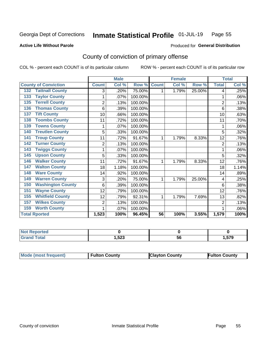#### Inmate Statistical Profile 01-JUL-19 Page 55

**Active Life Without Parole** 

**Produced for General Distribution** 

# County of conviction of primary offense

COL % - percent each COUNT is of its particular column

|                                 |                | <b>Male</b> |         | <b>Female</b>   |       |        | <b>Total</b>   |       |
|---------------------------------|----------------|-------------|---------|-----------------|-------|--------|----------------|-------|
| <b>County of Conviction</b>     | <b>Count</b>   | Col %       | Row %   | <b>Count</b>    | Col % | Row %  | <b>Total</b>   | Col % |
| <b>Tattnall County</b><br>132   | 3              | .20%        | 75.00%  |                 | 1.79% | 25.00% | 4              | .25%  |
| <b>Taylor County</b><br>133     | 1              | .07%        | 100.00% |                 |       |        | 1              | .06%  |
| <b>Terrell County</b><br>135    | $\overline{2}$ | .13%        | 100.00% |                 |       |        | $\overline{2}$ | .13%  |
| <b>Thomas County</b><br>136     | 6              | .39%        | 100.00% |                 |       |        | 6              | .38%  |
| <b>Tift County</b><br>137       | 10             | .66%        | 100.00% |                 |       |        | 10             | .63%  |
| <b>Toombs County</b><br>138     | 11             | .72%        | 100.00% |                 |       |        | 11             | .70%  |
| <b>Towns County</b><br>139      | 1              | .07%        | 100.00% |                 |       |        |                | .06%  |
| <b>Treutlen County</b><br>140   | 5              | .33%        | 100.00% |                 |       |        | 5              | .32%  |
| <b>Troup County</b><br>141      | 11             | .72%        | 91.67%  | 1               | 1.79% | 8.33%  | 12             | .76%  |
| <b>Turner County</b><br>142     | $\overline{2}$ | .13%        | 100.00% |                 |       |        | $\overline{2}$ | .13%  |
| <b>Twiggs County</b><br>143     | 1              | .07%        | 100.00% |                 |       |        | 1              | .06%  |
| <b>Upson County</b><br>145      | 5              | .33%        | 100.00% |                 |       |        | 5              | .32%  |
| <b>Walker County</b><br>146     | 11             | .72%        | 91.67%  | 1               | 1.79% | 8.33%  | 12             | .76%  |
| <b>Walton County</b><br>147     | 18             | 1.18%       | 100.00% |                 |       |        | 18             | 1.14% |
| <b>Ware County</b><br>148       | 14             | .92%        | 100.00% |                 |       |        | 14             | .89%  |
| <b>Warren County</b><br>149     | 3              | .20%        | 75.00%  | 1               | 1.79% | 25.00% | 4              | .25%  |
| <b>Washington County</b><br>150 | 6              | .39%        | 100.00% |                 |       |        | 6              | .38%  |
| <b>Wayne County</b><br>151      | 12             | .79%        | 100.00% |                 |       |        | 12             | .76%  |
| <b>Whitfield County</b><br>155  | 12             | .79%        | 92.31%  | 1               | 1.79% | 7.69%  | 13             | .82%  |
| <b>Wilkes County</b><br>157     | 2              | .13%        | 100.00% |                 |       |        | 2              | .13%  |
| <b>Worth County</b><br>159      | 1              | .07%        | 100.00% |                 |       |        |                | .06%  |
| <b>Total Rported</b>            | 1,523          | 100%        | 96.45%  | $\overline{56}$ | 100%  | 3.55%  | 1,579          | 100%  |

| τeα            |        |    |      |
|----------------|--------|----|------|
| otal<br>$\sim$ | 523. ا | эt | .579 |

| Mode (most frequent) | <b>Fulton County</b> | <b>IClayton County</b> | <b>Fulton County</b> |
|----------------------|----------------------|------------------------|----------------------|
|----------------------|----------------------|------------------------|----------------------|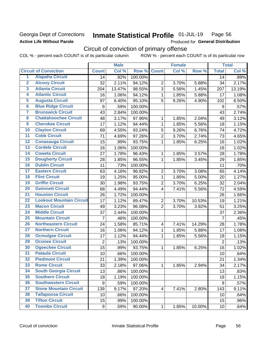## Georgia Dept of Corrections **Active Life Without Parole**

#### Inmate Statistical Profile 01-JUL-19 Page 56

Produced for General Distribution

# Circuit of conviction of primary offense

COL % - percent each COUNT is of its particular column ROW % - percent each COUNT is of its particular row

|                         |                                 |                  | <b>Male</b> |         |                         | <b>Female</b> |        |                 | <b>Total</b> |
|-------------------------|---------------------------------|------------------|-------------|---------|-------------------------|---------------|--------|-----------------|--------------|
|                         | <b>Circuit of Conviction</b>    | <b>Count</b>     | Col %       | Row %   | <b>Count</b>            | Col %         | Row %  | <b>Total</b>    | Col%         |
| 1                       | <b>Alapaha Circuit</b>          | 14               | .92%        | 100.00% |                         |               |        | 14              | .89%         |
| $\overline{2}$          | <b>Alcovy Circuit</b>           | 32               | 2.11%       | 94.12%  | $\overline{2}$          | 3.70%         | 5.88%  | 34              | 2.17%        |
| $\overline{\mathbf{3}}$ | <b>Atlanta Circuit</b>          | 204              | 13.47%      | 98.55%  | $\overline{3}$          | 5.56%         | 1.45%  | 207             | 13.19%       |
| 4                       | <b>Atlantic Circuit</b>         | 16               | 1.06%       | 94.12%  | 1                       | 1.85%         | 5.88%  | 17              | 1.08%        |
| 5                       | <b>Augusta Circuit</b>          | 97               | 6.40%       | 95.10%  | 5                       | 9.26%         | 4.90%  | 102             | 6.50%        |
| $\overline{\mathbf{6}}$ | <b>Blue Ridge Circuit</b>       | $\boldsymbol{9}$ | .59%        | 100.00% |                         |               |        | 9               | .57%         |
| 7                       | <b>Brunswick Circuit</b>        | 43               | 2.84%       | 100.00% |                         |               |        | 43              | 2.74%        |
| 8                       | <b>Chattahoochee Circuit</b>    | 48               | 3.17%       | 97.96%  | 1                       | 1.85%         | 2.04%  | 49              | 3.12%        |
| $\overline{9}$          | <b>Cherokee Circuit</b>         | 17               | 1.12%       | 94.44%  | $\mathbf{1}$            | 1.85%         | 5.56%  | 18              | 1.15%        |
| 10                      | <b>Clayton Circuit</b>          | 69               | 4.55%       | 93.24%  | 5                       | 9.26%         | 6.76%  | 74              | 4.72%        |
| $\overline{11}$         | <b>Cobb Circuit</b>             | 71               | 4.69%       | 97.26%  | $\overline{2}$          | 3.70%         | 2.74%  | 73              | 4.65%        |
| $\overline{12}$         | <b>Conasauga Circuit</b>        | 15               | .99%        | 93.75%  | 1                       | 1.85%         | 6.25%  | 16              | 1.02%        |
| $\overline{13}$         | <b>Cordele Circuit</b>          | 16               | 1.06%       | 100.00% |                         |               |        | 16              | 1.02%        |
| $\overline{14}$         | <b>Coweta Circuit</b>           | 27               | 1.78%       | 96.43%  | 1                       | 1.85%         | 3.57%  | 28              | 1.78%        |
| $\overline{15}$         | <b>Dougherty Circuit</b>        | 28               | 1.85%       | 96.55%  | $\mathbf{1}$            | 1.85%         | 3.45%  | 29              | 1.85%        |
| 16                      | <b>Dublin Circuit</b>           | 11               | .73%        | 100.00% |                         |               |        | 11              | .70%         |
| $\overline{17}$         | <b>Eastern Circuit</b>          | 63               | 4.16%       | 96.92%  | $\overline{2}$          | 3.70%         | 3.08%  | 65              | 4.14%        |
| 18                      | <b>Flint Circuit</b>            | 19               | 1.25%       | 95.00%  | 1                       | 1.85%         | 5.00%  | 20              | 1.27%        |
| 19                      | <b>Griffin Circuit</b>          | 30               | 1.98%       | 93.75%  | $\overline{2}$          | 3.70%         | 6.25%  | 32              | 2.04%        |
| $\overline{20}$         | <b>Gwinnett Circuit</b>         | 68               | 4.49%       | 94.44%  | 4                       | 7.41%         | 5.56%  | 72              | 4.59%        |
| $\overline{21}$         | <b>Houston Circuit</b>          | 26               | 1.72%       | 100.00% |                         |               |        | 26              | 1.66%        |
| $\overline{22}$         | <b>Lookout Mountain Circuit</b> | 17               | 1.12%       | 89.47%  | $\overline{2}$          | 3.70%         | 10.53% | 19              | 1.21%        |
| 23                      | <b>Macon Circuit</b>            | 49               | 3.23%       | 96.08%  | $\overline{2}$          | 3.70%         | 3.92%  | 51              | 3.25%        |
| $\overline{24}$         | <b>Middle Circuit</b>           | 37               | 2.44%       | 100.00% |                         |               |        | 37              | 2.36%        |
| $\overline{25}$         | <b>Mountain Circuit</b>         | $\overline{7}$   | .46%        | 100.00% |                         |               |        | $\overline{7}$  | .45%         |
| 26                      | <b>Northeastern Circuit</b>     | 24               | 1.58%       | 85.71%  | $\overline{\mathbf{4}}$ | 7.41%         | 14.29% | 28              | 1.78%        |
| $\overline{27}$         | <b>Northern Circuit</b>         | 16               | 1.06%       | 94.12%  | 1                       | 1.85%         | 5.88%  | 17              | 1.08%        |
| 28                      | <b>Ocmulgee Circuit</b>         | 17               | 1.12%       | 94.44%  | 1                       | 1.85%         | 5.56%  | 18              | 1.15%        |
| 29                      | <b>Oconee Circuit</b>           | $\overline{2}$   | .13%        | 100.00% |                         |               |        | $\overline{2}$  | .13%         |
| 30                      | <b>Ogeechee Circuit</b>         | $\overline{15}$  | .99%        | 93.75%  | 1                       | 1.85%         | 6.25%  | 16              | 1.02%        |
| $\overline{31}$         | <b>Pataula Circuit</b>          | 10               | .66%        | 100.00% |                         |               |        | 10              | .64%         |
| 32                      | <b>Piedmont Circuit</b>         | 21               | 1.39%       | 100.00% |                         |               |        | 21              | 1.34%        |
| 33                      | <b>Rome Circuit</b>             | 33               | 2.18%       | 97.06%  | $\mathbf{1}$            | 1.85%         | 2.94%  | 34              | 2.17%        |
| 34                      | <b>South Georgia Circuit</b>    | 13               | .86%        | 100.00% |                         |               |        | 13              | .83%         |
| 35                      | <b>Southern Circuit</b>         | 18               | 1.19%       | 100.00% |                         |               |        | 18              | 1.15%        |
| 36                      | <b>Southwestern Circuit</b>     | 9                | .59%        | 100.00% |                         |               |        | 9               | .57%         |
| 37                      | <b>Stone Mountain Circuit</b>   | 139              | 9.17%       | 97.20%  | 4                       | 7.41%         | 2.80%  | 143             | 9.11%        |
| 38                      | <b>Tallapoosa Circuit</b>       | 10               | .66%        | 100.00% |                         |               |        | 10              | .64%         |
| 39                      | <b>Tifton Circuit</b>           | 15               | .99%        | 100.00% |                         |               |        | 15              | .96%         |
| 40                      | <b>Toombs Circuit</b>           | 9                | .59%        | 90.00%  | $\mathbf{1}$            | 1.85%         | 10.00% | 10 <sub>1</sub> | .64%         |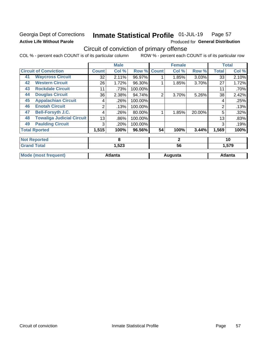# Georgia Dept of Corrections **Active Life Without Parole**

#### Inmate Statistical Profile 01-JUL-19 Page 57

Produced for General Distribution

# Circuit of conviction of primary offense

COL % - percent each COUNT is of its particular column ROW % - percent each COUNT is of its particular row

|    |                                  |              | <b>Male</b>    |         |              | <b>Female</b> |        |                | <b>Total</b>   |
|----|----------------------------------|--------------|----------------|---------|--------------|---------------|--------|----------------|----------------|
|    | <b>Circuit of Conviction</b>     | <b>Count</b> | Col %          | Row %   | <b>Count</b> | Col %         | Row %  | <b>Total</b>   | Col %          |
| 41 | <b>Waycross Circuit</b>          | 32           | 2.11%          | 96.97%  |              | 1.85%         | 3.03%  | 33             | 2.10%          |
| 42 | <b>Western Circuit</b>           | 26           | 1.72%          | 96.30%  |              | 1.85%         | 3.70%  | 27             | 1.72%          |
| 43 | <b>Rockdale Circuit</b>          | 11           | .73%           | 100.00% |              |               |        | 11             | .70%           |
| 44 | <b>Douglas Circuit</b>           | 36           | 2.38%          | 94.74%  | 2            | 3.70%         | 5.26%  | 38             | 2.42%          |
| 45 | <b>Appalachian Circuit</b>       | 4            | .26%           | 100.00% |              |               |        | 4              | .25%           |
| 46 | <b>Enotah Circuit</b>            | 2            | .13%           | 100.00% |              |               |        | $\overline{2}$ | .13%           |
| 47 | <b>Bell-Forsyth J.C.</b>         | 4            | .26%           | 80.00%  |              | 1.85%         | 20.00% | 5              | .32%           |
| 48 | <b>Towaliga Judicial Circuit</b> | 13           | .86%           | 100.00% |              |               |        | 13             | .83%           |
| 49 | <b>Paulding Circuit</b>          | 3            | .20%           | 100.00% |              |               |        | 3              | .19%           |
|    | <b>Total Rported</b>             | 1,515        | 100%           | 96.56%  | 54           | 100%          | 3.44%  | 1,569          | 100%           |
|    | <b>Not Reported</b>              |              | 8              |         |              | $\mathbf{2}$  |        |                | 10             |
|    | <b>Grand Total</b>               |              | 1,523          |         |              | 56            |        |                | 1,579          |
|    | <b>Mode (most frequent)</b>      |              | <b>Atlanta</b> |         |              | Augusta       |        |                | <b>Atlanta</b> |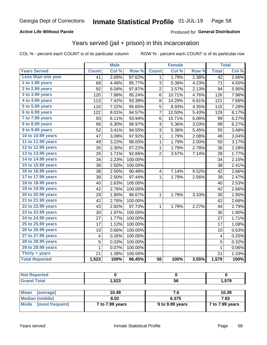### **Active Life Without Parole**

### Produced for General Distribution

# Years served (jail + prison) in this incarceration

COL % - percent each COUNT is of its particular column

|                        |              | <b>Male</b> |         |                 | <b>Female</b> |       |                 | <b>Total</b> |
|------------------------|--------------|-------------|---------|-----------------|---------------|-------|-----------------|--------------|
| <b>Years Served</b>    | <b>Count</b> | Col %       | Row %   | <b>Count</b>    | Col %         | Row % | <b>Total</b>    | Col %        |
| Less than one year     | 41           | 2.69%       | 97.62%  | 1               | 1.79%         | 2.38% | $\overline{42}$ | 2.66%        |
| 1 to 1.99 years        | 68           | 4.46%       | 95.77%  | 3               | 5.36%         | 4.23% | 71              | 4.50%        |
| 2 to 2.99 years        | 92           | 6.04%       | 97.87%  | $\overline{2}$  | 3.57%         | 2.13% | 94              | 5.95%        |
| 3 to 3.99 years        | 120          | 7.88%       | 95.24%  | 6               | 10.71%        | 4.76% | 126             | 7.98%        |
| 4 to 4.99 years        | 113          | 7.42%       | 93.39%  | 8               | 14.29%        | 6.61% | 121             | 7.66%        |
| 5 to 5.99 years        | 110          | 7.22%       | 95.65%  | $\overline{5}$  | 8.93%         | 4.35% | 115             | 7.28%        |
| 6 to 6.99 years        | 122          | 8.01%       | 94.57%  | $\overline{7}$  | 12.50%        | 5.43% | 129             | 8.17%        |
| 7 to 7.99 years        | 93           | 6.11%       | 93.94%  | 6               | 10.71%        | 6.06% | 99              | 6.27%        |
| <b>8 to 8.99 years</b> | 96           | 6.30%       | 96.97%  | 3               | 5.36%         | 3.03% | 99              | 6.27%        |
| 9 to 9.99 years        | 52           | 3.41%       | 94.55%  | 3               | 5.36%         | 5.45% | 55              | 3.48%        |
| 10 to 10.99 years      | 47           | 3.09%       | 97.92%  | $\mathbf 1$     | 1.79%         | 2.08% | 48              | 3.04%        |
| 11 to 11.99 years      | 49           | 3.22%       | 98.00%  | 1               | 1.79%         | 2.00% | 50              | 3.17%        |
| 12 to 12.99 years      | 35           | 2.30%       | 97.22%  | 1               | 1.79%         | 2.78% | 36              | 2.28%        |
| 13 to 13.99 years      | 26           | 1.71%       | 92.86%  | $\overline{2}$  | 3.57%         | 7.14% | 28              | 1.77%        |
| 14 to 14.99 years      | 34           | 2.23%       | 100.00% |                 |               |       | 34              | 2.15%        |
| 15 to 15.99 years      | 38           | 2.50%       | 100.00% |                 |               |       | 38              | 2.41%        |
| 16 to 16.99 years      | 38           | 2.50%       | 90.48%  | 4               | 7.14%         | 9.52% | 42              | 2.66%        |
| 17 to 17.99 years      | 38           | 2.50%       | 97.44%  | $\mathbf{1}$    | 1.79%         | 2.56% | 39              | 2.47%        |
| 18 to 18.99 years      | 40           | 2.63%       | 100.00% |                 |               |       | 40              | 2.53%        |
| 19 to 19.99 years      | 42           | 2.76%       | 100.00% |                 |               |       | 42              | 2.66%        |
| 20 to 20.99 years      | 29           | 1.90%       | 96.67%  | $\mathbf 1$     | 1.79%         | 3.33% | 30              | 1.90%        |
| 21 to 21.99 years      | 42           | 2.76%       | 100.00% |                 |               |       | 42              | 2.66%        |
| 22 to 22.99 years      | 43           | 2.82%       | 97.73%  | 1               | 1.79%         | 2.27% | 44              | 2.79%        |
| 23 to 23.99 years      | 30           | 1.97%       | 100.00% |                 |               |       | 30              | 1.90%        |
| 24 to 24.99 years      | 27           | 1.77%       | 100.00% |                 |               |       | 27              | 1.71%        |
| 25 to 25.99 years      | 17           | 1.12%       | 100.00% |                 |               |       | 17              | 1.08%        |
| 26 to 26.99 years      | 10           | 0.66%       | 100.00% |                 |               |       | 10              | 0.63%        |
| 27 to 27.99 years      | 4            | 0.26%       | 100.00% |                 |               |       | 4               | 0.25%        |
| 28 to 28.99 years      | 5            | 0.33%       | 100.00% |                 |               |       | 5               | 0.32%        |
| 29 to 29.99 years      | 1            | 0.07%       | 100.00% |                 |               |       | $\mathbf{1}$    | 0.06%        |
| Thirty + years         | 21           | 1.38%       | 100.00% |                 |               |       | 21              | 1.33%        |
| <b>Total Reported</b>  | 1,523        | 100%        | 96.45%  | $\overline{56}$ | 100%          | 3.55% | 1,579           | 100%         |

| E00<br>525. ا | - -<br>- .<br>- 11<br>JU. | <b>570</b><br>I .J I J |
|---------------|---------------------------|------------------------|

| <b>Mean</b><br>(average) | 10.49           | 7.6             | 10.39           |
|--------------------------|-----------------|-----------------|-----------------|
| Median (middle)          | 8.02            | 6.375           | 7.93            |
| Mode (most frequent)     | 7 to 7.99 years | 9 to 9.99 years | 7 to 7.99 years |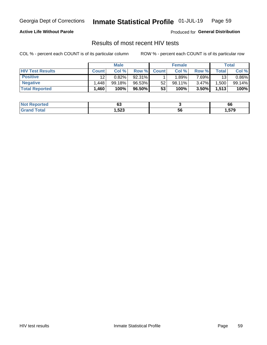#### Inmate Statistical Profile 01-JUL-19 Page 59

### **Active Life Without Parole**

Produced for General Distribution

# Results of most recent HIV tests

COL % - percent each COUNT is of its particular column

|                         |                 | <b>Male</b> |        |              | <b>Female</b> |          |             | Total    |
|-------------------------|-----------------|-------------|--------|--------------|---------------|----------|-------------|----------|
| <b>HIV Test Results</b> | <b>Count</b>    | Col %       | Row %I | <b>Count</b> | Col %         | Row %    | $\tau$ otal | Col %    |
| <b>Positive</b>         | 12 <sup>2</sup> | 0.82%       | 92.31% |              | .89%          | $7.69\%$ | 13          | $0.86\%$ |
| <b>Negative</b>         | .448            | 99.18%      | 96.53% | 52           | 98.11%        | $3.47\%$ | .500        | 99.14%   |
| <b>Total Reported</b>   | .460            | 100%        | 96.50% | 53           | 100%          | 3.50%    | 1,513       | 100%     |

| <b>Not Reported</b>       | ^^<br>uu |    | 66     |
|---------------------------|----------|----|--------|
| Total<br>Gra <sub>r</sub> | 1,523    | 56 | 579, ا |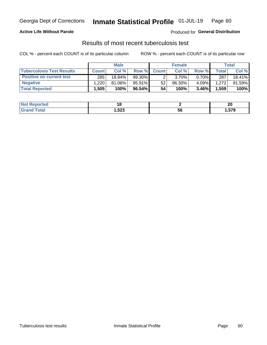# Georgia Dept of Corrections **Inmate Statistical Profile** 01-JUL-19 Page 60

### **Active Life Without Parole**

Produced for **General Distribution**

# Results of most recent tuberculosis test

COL % - percent each COUNT is of its particular column ROW % - percent each COUNT is of its particular row

|                                  |                   | <b>Male</b> |           |              | <b>Female</b> |          |       | Total  |
|----------------------------------|-------------------|-------------|-----------|--------------|---------------|----------|-------|--------|
| <b>Tuberculosis Test Results</b> | <b>Count</b>      | Col%        | Row %I    | <b>Count</b> | Col %         | Row %    | Total | Col %  |
| <b>Positive on current test</b>  | 285               | 18.94%      | 99.30%    |              | 3.70%         | $0.70\%$ | 287   | 18.41% |
| <b>Negative</b>                  | .220              | $81.06\%$   | $95.91\%$ | 52           | $96.30\%$     | 4.09%    | 1.272 | 81.59% |
| <b>Total Reported</b>            | .505 <sup>2</sup> | 100%        | 96.54%    | 54           | 100%          | 3.46%    | 1,559 | 100%   |

| <b>Not Reported</b> |               |    | ״<br>ZV |
|---------------------|---------------|----|---------|
| Total               | 523, ا<br>- - | ວບ | .579    |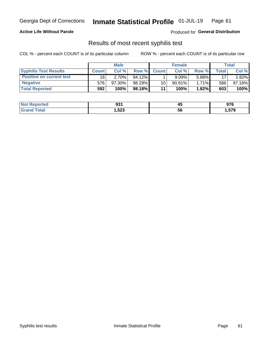# Georgia Dept of Corrections **Inmate Statistical Profile** 01-JUL-19 Page 61

### **Active Life Without Parole**

Produced for **General Distribution**

# Results of most recent syphilis test

COL % - percent each COUNT is of its particular column ROW % - percent each COUNT is of its particular row

|                                 |              | <b>Male</b> |           |                 | <b>Female</b> |          |       | Total  |
|---------------------------------|--------------|-------------|-----------|-----------------|---------------|----------|-------|--------|
| <b>Syphilis Test Results</b>    | <b>Count</b> | Col%        | Row %I    | <b>Count</b>    | Col%          | Row %    | Total | Col %  |
| <b>Positive on current test</b> | 16           | 2.70%       | $94.12\%$ |                 | $9.09\%$      | 5.88%    | 17    | 2.82%  |
| <b>Negative</b>                 | 576          | 97.30%      | 98.29%    | 10 <sub>1</sub> | $90.91\%$     | $1.71\%$ | 586   | 97.18% |
| <b>Total Reported</b>           | 592          | 100%        | 98.18%    | 11              | 100%          | 1.82%    | 603   | 100%   |

| <b>Not Reported</b>     | <b>021</b><br>JJ. | ль<br>≖∾ | 976    |
|-------------------------|-------------------|----------|--------|
| <b>Total</b><br>' Grand | 523, ا            | 56       | 579, ا |